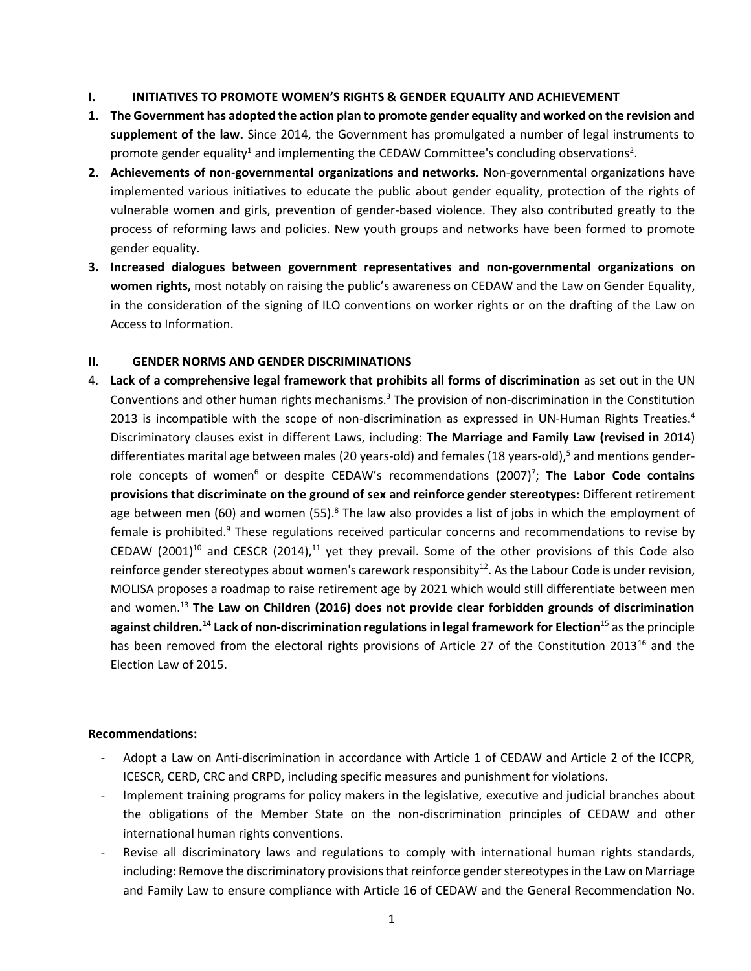## **I. INITIATIVES TO PROMOTE WOMEN'S RIGHTS & GENDER EQUALITY AND ACHIEVEMENT**

- **1. The Government has adopted the action plan to promote gender equality and worked on the revision and supplement of the law.** Since 2014, the Government has promulgated a number of legal instruments to promote gender equality<sup>1</sup> and implementing the CEDAW Committee's concluding observations<sup>2</sup>.
- **2. Achievements of non-governmental organizations and networks.** Non-governmental organizations have implemented various initiatives to educate the public about gender equality, protection of the rights of vulnerable women and girls, prevention of gender-based violence. They also contributed greatly to the process of reforming laws and policies. New youth groups and networks have been formed to promote gender equality.
- **3. Increased dialogues between government representatives and non-governmental organizations on women rights,** most notably on raising the public's awareness on CEDAW and the Law on Gender Equality, in the consideration of the signing of ILO conventions on worker rights or on the drafting of the Law on Access to Information.

## **II. GENDER NORMS AND GENDER DISCRIMINATIONS**

4. **Lack of a comprehensive legal framework that prohibits all forms of discrimination** as set out in the UN Conventions and other human rights mechanisms.<sup>3</sup> The provision of non-discrimination in the Constitution 2013 is incompatible with the scope of non-discrimination as expressed in UN-Human Rights Treaties. $4$ Discriminatory clauses exist in different Laws, including: **The Marriage and Family Law (revised in** 2014) differentiates marital age between males (20 years-old) and females (18 years-old),<sup>5</sup> and mentions genderrole concepts of women<sup>6</sup> or despite CEDAW's recommendations (2007)<sup>7</sup>; **The Labor Code contains provisions that discriminate on the ground of sex and reinforce gender stereotypes:** Different retirement age between men (60) and women (55).<sup>8</sup> The law also provides a list of jobs in which the employment of female is prohibited.<sup>9</sup> These regulations received particular concerns and recommendations to revise by CEDAW (2001)<sup>10</sup> and CESCR (2014),<sup>11</sup> yet they prevail. Some of the other provisions of this Code also reinforce gender stereotypes about women's carework responsibity<sup>12</sup>. As the Labour Code is under revision, MOLISA proposes a roadmap to raise retirement age by 2021 which would still differentiate between men and women.<sup>13</sup> **The Law on Children (2016) does not provide clear forbidden grounds of discrimination against children.<sup>14</sup> Lack of non-discrimination regulations in legal framework for Election**<sup>15</sup> as the principle has been removed from the electoral rights provisions of Article 27 of the Constitution 2013<sup>16</sup> and the Election Law of 2015.

- Adopt a Law on Anti-discrimination in accordance with Article 1 of CEDAW and Article 2 of the ICCPR, ICESCR, CERD, CRC and CRPD, including specific measures and punishment for violations.
- Implement training programs for policy makers in the legislative, executive and judicial branches about the obligations of the Member State on the non-discrimination principles of CEDAW and other international human rights conventions.
- Revise all discriminatory laws and regulations to comply with international human rights standards, including: Remove the discriminatory provisions that reinforce gender stereotypes in the Law on Marriage and Family Law to ensure compliance with Article 16 of CEDAW and the General Recommendation No.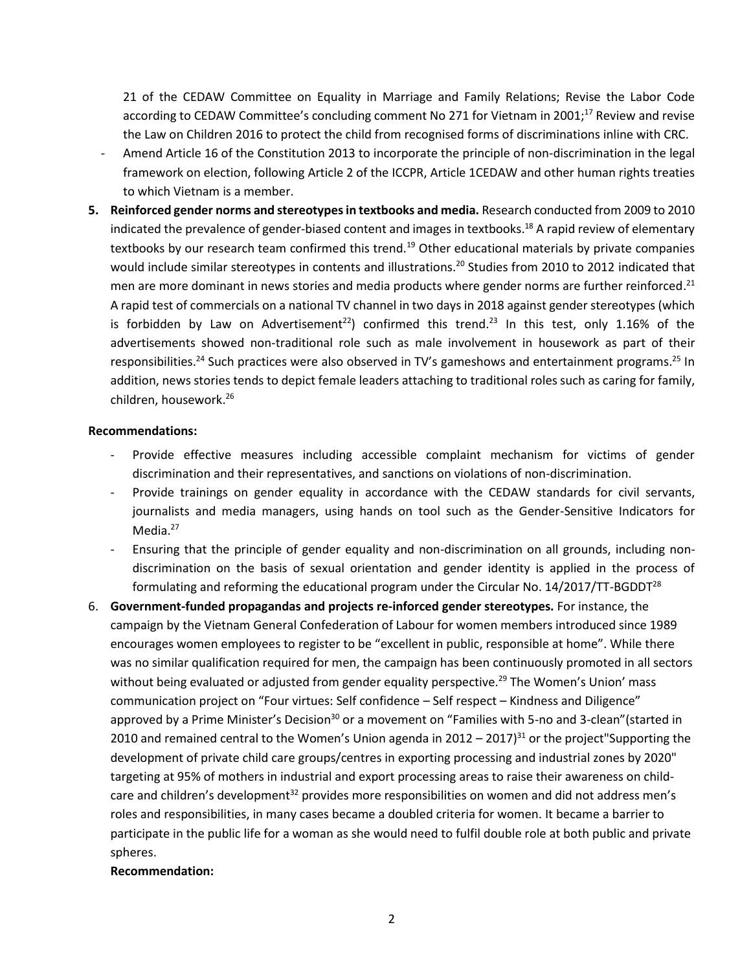21 of the CEDAW Committee on Equality in Marriage and Family Relations; Revise the Labor Code according to CEDAW Committee's concluding comment No 271 for Vietnam in 2001;<sup>17</sup> Review and revise the Law on Children 2016 to protect the child from recognised forms of discriminations inline with CRC.

- Amend Article 16 of the Constitution 2013 to incorporate the principle of non-discrimination in the legal framework on election, following Article 2 of the ICCPR, Article 1CEDAW and other human rights treaties to which Vietnam is a member.
- **5. Reinforced gender norms and stereotypesin textbooks and media.** Research conducted from 2009 to 2010 indicated the prevalence of gender-biased content and images in textbooks.<sup>18</sup> A rapid review of elementary textbooks by our research team confirmed this trend.<sup>19</sup> Other educational materials by private companies would include similar stereotypes in contents and illustrations.<sup>20</sup> Studies from 2010 to 2012 indicated that men are more dominant in news stories and media products where gender norms are further reinforced.<sup>21</sup> A rapid test of commercials on a national TV channel in two days in 2018 against gender stereotypes (which is forbidden by Law on Advertisement<sup>22</sup>) confirmed this trend.<sup>23</sup> In this test, only 1.16% of the advertisements showed non-traditional role such as male involvement in housework as part of their responsibilities.<sup>24</sup> Such practices were also observed in TV's gameshows and entertainment programs.<sup>25</sup> In addition, news stories tends to depict female leaders attaching to traditional roles such as caring for family, children, housework. 26

#### **Recommendations:**

- Provide effective measures including accessible complaint mechanism for victims of gender discrimination and their representatives, and sanctions on violations of non-discrimination.
- Provide trainings on gender equality in accordance with the CEDAW standards for civil servants, journalists and media managers, using hands on tool such as the Gender-Sensitive Indicators for Media.<sup>27</sup>
- Ensuring that the principle of gender equality and non-discrimination on all grounds, including nondiscrimination on the basis of sexual orientation and gender identity is applied in the process of formulating and reforming the educational program under the Circular No.  $14/2017/TT$ -BGDDT<sup>28</sup>
- 6. **Government-funded propagandas and projects re-inforced gender stereotypes.** For instance, the campaign by the Vietnam General Confederation of Labour for women members introduced since 1989 encourages women employees to register to be "excellent in public, responsible at home". While there was no similar qualification required for men, the campaign has been continuously promoted in all sectors without being evaluated or adjusted from gender equality perspective.<sup>29</sup> The Women's Union' mass communication project on "Four virtues: Self confidence – Self respect – Kindness and Diligence" approved by a Prime Minister's Decision<sup>30</sup> or a movement on "Families with 5-no and 3-clean"(started in 2010 and remained central to the Women's Union agenda in  $2012 - 2017$ <sup>31</sup> or the project"Supporting the development of private child care groups/centres in exporting processing and industrial zones by 2020" targeting at 95% of mothers in industrial and export processing areas to raise their awareness on childcare and children's development<sup>32</sup> provides more responsibilities on women and did not address men's roles and responsibilities, in many cases became a doubled criteria for women. It became a barrier to participate in the public life for a woman as she would need to fulfil double role at both public and private spheres.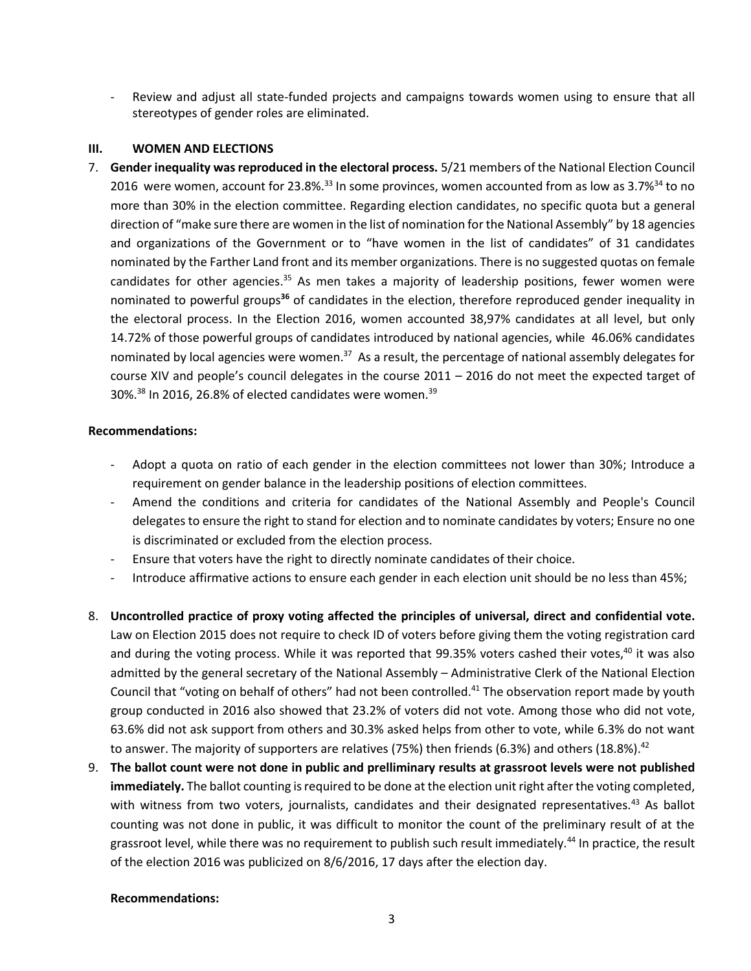Review and adjust all state-funded projects and campaigns towards women using to ensure that all stereotypes of gender roles are eliminated.

#### **III. WOMEN AND ELECTIONS**

7. **Gender inequality was reproduced in the electoral process.** 5/21 members of the National Election Council 2016 were women, account for 23.8%.<sup>33</sup> In some provinces, women accounted from as low as  $3.7\%$ <sup>34</sup> to no more than 30% in the election committee. Regarding election candidates, no specific quota but a general direction of "make sure there are women in the list of nomination for the National Assembly" by 18 agencies and organizations of the Government or to "have women in the list of candidates" of 31 candidates nominated by the Farther Land front and its member organizations. There is no suggested quotas on female candidates for other agencies.<sup>35</sup> As men takes a majority of leadership positions, fewer women were nominated to powerful groups**<sup>36</sup>** of candidates in the election, therefore reproduced gender inequality in the electoral process. In the Election 2016, women accounted 38,97% candidates at all level, but only 14.72% of those powerful groups of candidates introduced by national agencies, while 46.06% candidates nominated by local agencies were women.<sup>37</sup> As a result, the percentage of national assembly delegates for course XIV and people's council delegates in the course 2011 – 2016 do not meet the expected target of 30%.<sup>38</sup> In 2016, 26.8% of elected candidates were women.<sup>39</sup>

#### **Recommendations:**

- Adopt a quota on ratio of each gender in the election committees not lower than 30%; Introduce a requirement on gender balance in the leadership positions of election committees.
- Amend the conditions and criteria for candidates of the National Assembly and People's Council delegates to ensure the right to stand for election and to nominate candidates by voters; Ensure no one is discriminated or excluded from the election process.
- Ensure that voters have the right to directly nominate candidates of their choice.
- Introduce affirmative actions to ensure each gender in each election unit should be no less than 45%;
- 8. **Uncontrolled practice of proxy voting affected the principles of universal, direct and confidential vote.**  Law on Election 2015 does not require to check ID of voters before giving them the voting registration card and during the voting process. While it was reported that 99.35% voters cashed their votes, $40$  it was also admitted by the general secretary of the National Assembly – Administrative Clerk of the National Election Council that "voting on behalf of others" had not been controlled.<sup>41</sup> The observation report made by youth group conducted in 2016 also showed that 23.2% of voters did not vote. Among those who did not vote, 63.6% did not ask support from others and 30.3% asked helps from other to vote, while 6.3% do not want to answer. The majority of supporters are relatives (75%) then friends (6.3%) and others (18.8%).<sup>42</sup>
- 9. **The ballot count were not done in public and prelliminary results at grassroot levels were not published immediately.** The ballot counting is required to be done at the election unit right after the voting completed, with witness from two voters, journalists, candidates and their designated representatives.<sup>43</sup> As ballot counting was not done in public, it was difficult to monitor the count of the preliminary result of at the grassroot level, while there was no requirement to publish such result immediately.<sup>44</sup> In practice, the result of the election 2016 was publicized on 8/6/2016, 17 days after the election day.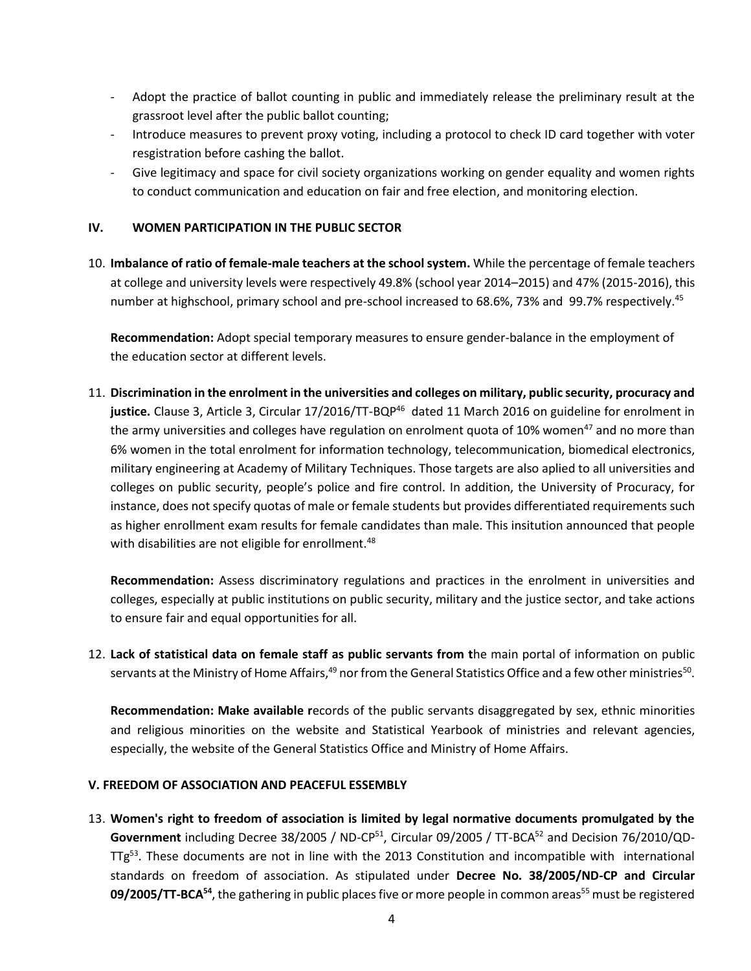- Adopt the practice of ballot counting in public and immediately release the preliminary result at the grassroot level after the public ballot counting;
- Introduce measures to prevent proxy voting, including a protocol to check ID card together with voter resgistration before cashing the ballot.
- Give legitimacy and space for civil society organizations working on gender equality and women rights to conduct communication and education on fair and free election, and monitoring election.

## **IV. WOMEN PARTICIPATION IN THE PUBLIC SECTOR**

10. **Imbalance of ratio of female-male teachers at the school system.** While the percentage of female teachers at college and university levels were respectively 49.8% (school year 2014–2015) and 47% (2015-2016), this number at highschool, primary school and pre-school increased to 68.6%, 73% and 99.7% respectively.<sup>45</sup>

**Recommendation:** Adopt special temporary measures to ensure gender-balance in the employment of the education sector at different levels.

11. **Discrimination in the enrolment in the universities and colleges on military, public security, procuracy and**  justice. Clause 3, Article 3, Circular 17/2016/TT-BQP<sup>46</sup> dated 11 March 2016 on guideline for enrolment in the army universities and colleges have regulation on enrolment quota of 10% women<sup>47</sup> and no more than 6% women in the total enrolment for information technology, telecommunication, biomedical electronics, military engineering at Academy of Military Techniques. Those targets are also aplied to all universities and colleges on public security, people's police and fire control. In addition, the University of Procuracy, for instance, does not specify quotas of male or female students but provides differentiated requirements such as higher enrollment exam results for female candidates than male. This insitution announced that people with disabilities are not eligible for enrollment.<sup>48</sup>

**Recommendation:** Assess discriminatory regulations and practices in the enrolment in universities and colleges, especially at public institutions on public security, military and the justice sector, and take actions to ensure fair and equal opportunities for all.

12. **Lack of statistical data on female staff as public servants from t**he main portal of information on public servants at the Ministry of Home Affairs,<sup>49</sup> nor from the General Statistics Office and a few other ministries<sup>50</sup>.

**Recommendation: Make available r**ecords of the public servants disaggregated by sex, ethnic minorities and religious minorities on the website and Statistical Yearbook of ministries and relevant agencies, especially, the website of the General Statistics Office and Ministry of Home Affairs.

## **V. FREEDOM OF ASSOCIATION AND PEACEFUL ESSEMBLY**

13. **Women's right to freedom of association is limited by legal normative documents promulgated by the**  Government including Decree 38/2005 / ND-CP<sup>51</sup>, Circular 09/2005 / TT-BCA<sup>52</sup> and Decision 76/2010/QD-TTg<sup>53</sup>. These documents are not in line with the 2013 Constitution and incompatible with international standards on freedom of association. As stipulated under **Decree No. 38/2005/ND-CP and Circular 09/2005/TT-BCA<sup>54</sup>,** the gathering in public places five or more people in common areas<sup>55</sup> must be registered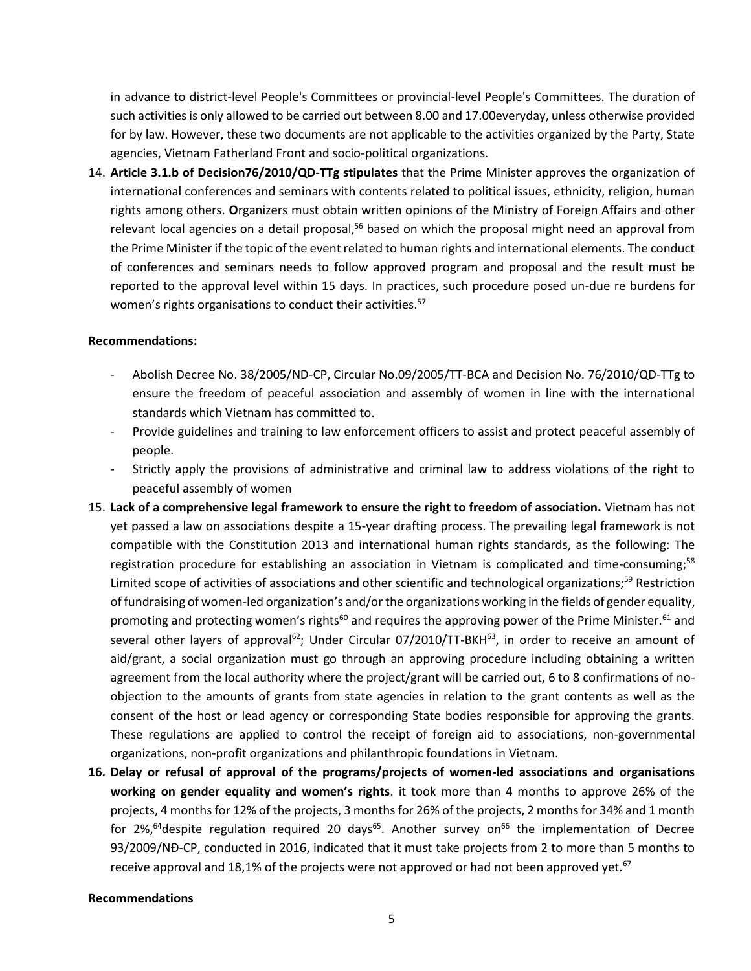in advance to district-level People's Committees or provincial-level People's Committees. The duration of such activities is only allowed to be carried out between 8.00 and 17.00everyday, unless otherwise provided for by law. However, these two documents are not applicable to the activities organized by the Party, State agencies, Vietnam Fatherland Front and socio-political organizations.

14. **Article 3.1.b of Decision76/2010/QD-TTg stipulates** that the Prime Minister approves the organization of international conferences and seminars with contents related to political issues, ethnicity, religion, human rights among others. **O**rganizers must obtain written opinions of the Ministry of Foreign Affairs and other relevant local agencies on a detail proposal,<sup>56</sup> based on which the proposal might need an approval from the Prime Minister if the topic of the event related to human rights and international elements. The conduct of conferences and seminars needs to follow approved program and proposal and the result must be reported to the approval level within 15 days. In practices, such procedure posed un-due re burdens for women's rights organisations to conduct their activities.<sup>57</sup>

#### **Recommendations:**

- Abolish Decree No. 38/2005/ND-CP, Circular No.09/2005/TT-BCA and Decision No. 76/2010/QD-TTg to ensure the freedom of peaceful association and assembly of women in line with the international standards which Vietnam has committed to.
- Provide guidelines and training to law enforcement officers to assist and protect peaceful assembly of people.
- Strictly apply the provisions of administrative and criminal law to address violations of the right to peaceful assembly of women
- 15. **Lack of a comprehensive legal framework to ensure the right to freedom of association.** Vietnam has not yet passed a law on associations despite a 15-year drafting process. The prevailing legal framework is not compatible with the Constitution 2013 and international human rights standards, as the following: The registration procedure for establishing an association in Vietnam is complicated and time-consuming;<sup>58</sup> Limited scope of activities of associations and other scientific and technological organizations;<sup>59</sup> Restriction of fundraising of women-led organization's and/or the organizations working in the fields of gender equality, promoting and protecting women's rights<sup>60</sup> and requires the approving power of the Prime Minister.<sup>61</sup> and several other layers of approval<sup>62</sup>; Under Circular 07/2010/TT-BKH<sup>63</sup>, in order to receive an amount of aid/grant, a social organization must go through an approving procedure including obtaining a written agreement from the local authority where the project/grant will be carried out, 6 to 8 confirmations of noobjection to the amounts of grants from state agencies in relation to the grant contents as well as the consent of the host or lead agency or corresponding State bodies responsible for approving the grants. These regulations are applied to control the receipt of foreign aid to associations, non-governmental organizations, non-profit organizations and philanthropic foundations in Vietnam.
- **16. Delay or refusal of approval of the programs/projects of women-led associations and organisations working on gender equality and women's rights**. it took more than 4 months to approve 26% of the projects, 4 months for 12% of the projects, 3 months for 26% of the projects, 2 months for 34% and 1 month for 2%,<sup>64</sup> despite regulation required 20 days<sup>65</sup>. Another survey on<sup>66</sup> the implementation of Decree 93/2009/NĐ-CP, conducted in 2016, indicated that it must take projects from 2 to more than 5 months to receive approval and 18,1% of the projects were not approved or had not been approved yet.<sup>67</sup>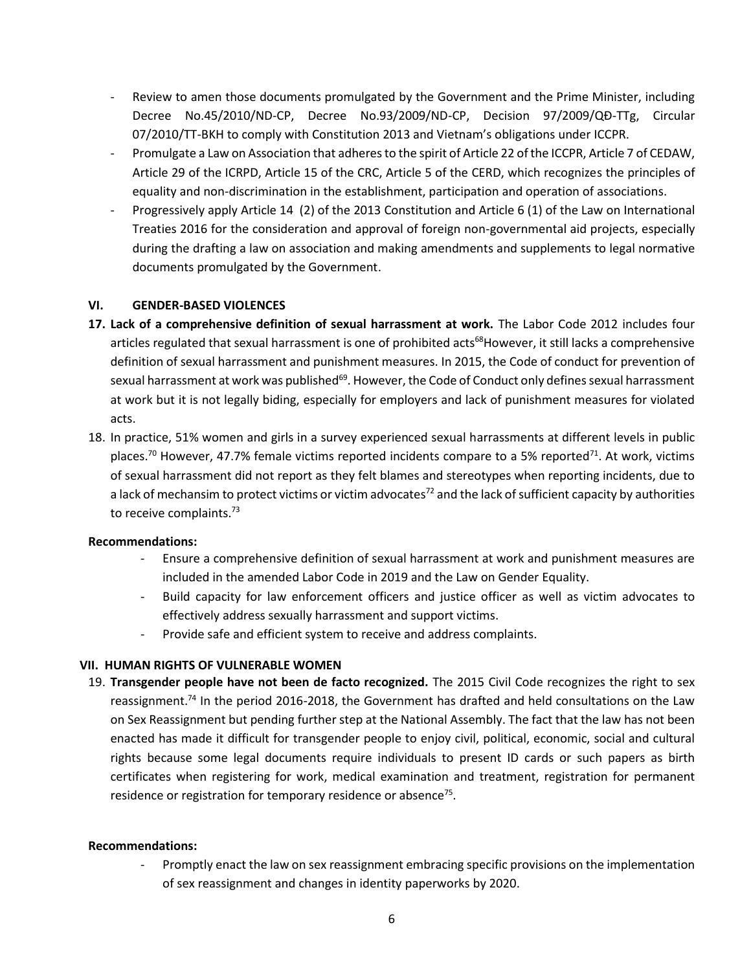- Review to amen those documents promulgated by the Government and the Prime Minister, including Decree No.45/2010/ND-CP, Decree No.93/2009/ND-CP, Decision 97/2009/QĐ-TTg, Circular 07/2010/TT-BKH to comply with Constitution 2013 and Vietnam's obligations under ICCPR.
- Promulgate a Law on Association that adheres to the spirit of Article 22 of the ICCPR, Article 7 of CEDAW, Article 29 of the ICRPD, Article 15 of the CRC, Article 5 of the CERD, which recognizes the principles of equality and non-discrimination in the establishment, participation and operation of associations.
- Progressively apply Article 14 (2) of the 2013 Constitution and Article 6 (1) of the Law on International Treaties 2016 for the consideration and approval of foreign non-governmental aid projects, especially during the drafting a law on association and making amendments and supplements to legal normative documents promulgated by the Government.

## **VI. GENDER-BASED VIOLENCES**

- **17. Lack of a comprehensive definition of sexual harrassment at work.** The Labor Code 2012 includes four articles regulated that sexual harrassment is one of prohibited acts<sup>68</sup>However, it still lacks a comprehensive definition of sexual harrassment and punishment measures. In 2015, the Code of conduct for prevention of sexual harrassment at work was published<sup>69</sup>. However, the Code of Conduct only defines sexual harrassment at work but it is not legally biding, especially for employers and lack of punishment measures for violated acts.
- 18. In practice, 51% women and girls in a survey experienced sexual harrassments at different levels in public places.<sup>70</sup> However, 47.7% female victims reported incidents compare to a 5% reported<sup>71</sup>. At work, victims of sexual harrassment did not report as they felt blames and stereotypes when reporting incidents, due to a lack of mechansim to protect victims or victim advocates<sup>72</sup> and the lack of sufficient capacity by authorities to receive complaints.<sup>73</sup>

## **Recommendations:**

- Ensure a comprehensive definition of sexual harrassment at work and punishment measures are included in the amended Labor Code in 2019 and the Law on Gender Equality.
- Build capacity for law enforcement officers and justice officer as well as victim advocates to effectively address sexually harrassment and support victims.
- Provide safe and efficient system to receive and address complaints.

# **VII. HUMAN RIGHTS OF VULNERABLE WOMEN**

19. **Transgender people have not been de facto recognized.** The 2015 Civil Code recognizes the right to sex reassignment.<sup>74</sup> In the period 2016-2018, the Government has drafted and held consultations on the Law on Sex Reassignment but pending further step at the National Assembly. The fact that the law has not been enacted has made it difficult for transgender people to enjoy civil, political, economic, social and cultural rights because some legal documents require individuals to present ID cards or such papers as birth certificates when registering for work, medical examination and treatment, registration for permanent residence or registration for temporary residence or absence<sup>75</sup>.

## **Recommendations:**

Promptly enact the law on sex reassignment embracing specific provisions on the implementation of sex reassignment and changes in identity paperworks by 2020.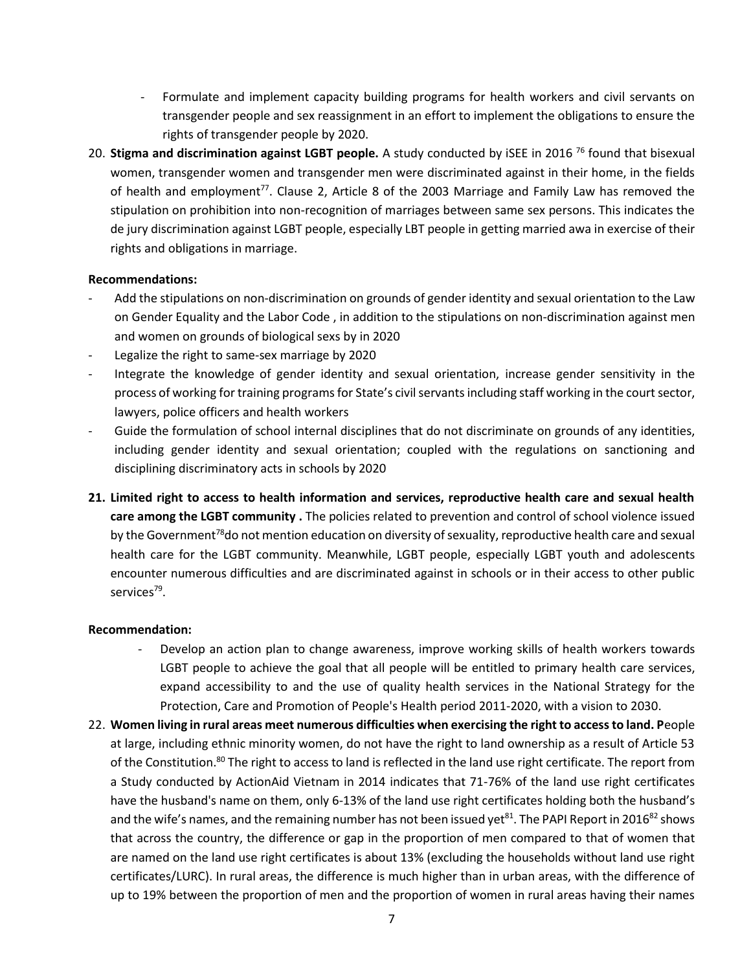- Formulate and implement capacity building programs for health workers and civil servants on transgender people and sex reassignment in an effort to implement the obligations to ensure the rights of transgender people by 2020.
- 20. **Stigma and discrimination against LGBT people.** A study conducted by iSEE in 2016 <sup>76</sup> found that bisexual women, transgender women and transgender men were discriminated against in their home, in the fields of health and employment<sup>77</sup>. Clause 2, Article 8 of the 2003 Marriage and Family Law has removed the stipulation on prohibition into non-recognition of marriages between same sex persons. This indicates the de jury discrimination against LGBT people, especially LBT people in getting married awa in exercise of their rights and obligations in marriage.

## **Recommendations:**

- Add the stipulations on non-discrimination on grounds of gender identity and sexual orientation to the Law on Gender Equality and the Labor Code , in addition to the stipulations on non-discrimination against men and women on grounds of biological sexs by in 2020
- Legalize the right to same-sex marriage by 2020
- Integrate the knowledge of gender identity and sexual orientation, increase gender sensitivity in the process of working for training programs for State's civil servants including staff working in the court sector, lawyers, police officers and health workers
- Guide the formulation of school internal disciplines that do not discriminate on grounds of any identities, including gender identity and sexual orientation; coupled with the regulations on sanctioning and disciplining discriminatory acts in schools by 2020
- **21. Limited right to access to health information and services, reproductive health care and sexual health care among the LGBT community .** The policies related to prevention and control of school violence issued by the Government<sup>78</sup>do not mention education on diversity of sexuality, reproductive health care and sexual health care for the LGBT community. Meanwhile, LGBT people, especially LGBT youth and adolescents encounter numerous difficulties and are discriminated against in schools or in their access to other public services<sup>79</sup>.

- Develop an action plan to change awareness, improve working skills of health workers towards LGBT people to achieve the goal that all people will be entitled to primary health care services, expand accessibility to and the use of quality health services in the National Strategy for the Protection, Care and Promotion of People's Health period 2011-2020, with a vision to 2030.
- 22. **Women living in rural areas meet numerous difficulties when exercising the right to access to land. P**eople at large, including ethnic minority women, do not have the right to land ownership as a result of Article 53 of the Constitution.<sup>80</sup> The right to access to land is reflected in the land use right certificate. The report from a Study conducted by ActionAid Vietnam in 2014 indicates that 71-76% of the land use right certificates have the husband's name on them, only 6-13% of the land use right certificates holding both the husband's and the wife's names, and the remaining number has not been issued yet<sup>81</sup>. The PAPI Report in 2016<sup>82</sup> shows that across the country, the difference or gap in the proportion of men compared to that of women that are named on the land use right certificates is about 13% (excluding the households without land use right certificates/LURC). In rural areas, the difference is much higher than in urban areas, with the difference of up to 19% between the proportion of men and the proportion of women in rural areas having their names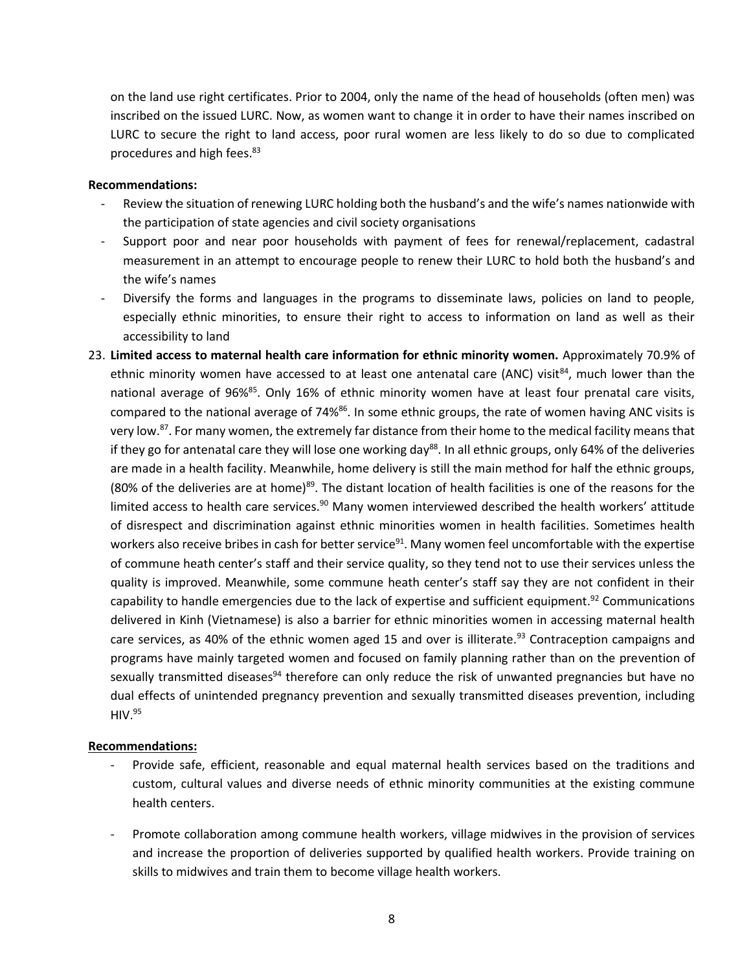on the land use right certificates. Prior to 2004, only the name of the head of households (often men) was inscribed on the issued LURC. Now, as women want to change it in order to have their names inscribed on LURC to secure the right to land access, poor rural women are less likely to do so due to complicated procedures and high fees.<sup>83</sup>

#### **Recommendations:**

- Review the situation of renewing LURC holding both the husband's and the wife's names nationwide with the participation of state agencies and civil society organisations
- Support poor and near poor households with payment of fees for renewal/replacement, cadastral measurement in an attempt to encourage people to renew their LURC to hold both the husband's and the wife's names
- Diversify the forms and languages in the programs to disseminate laws, policies on land to people, especially ethnic minorities, to ensure their right to access to information on land as well as their accessibility to land
- 23. **Limited access to maternal health care information for ethnic minority women.** Approximately 70.9% of ethnic minority women have accessed to at least one antenatal care (ANC) visit<sup>84</sup>, much lower than the national average of 96%<sup>85</sup>. Only 16% of ethnic minority women have at least four prenatal care visits, compared to the national average of 74%<sup>86</sup>. In some ethnic groups, the rate of women having ANC visits is very low.<sup>87</sup>. For many women, the extremely far distance from their home to the medical facility means that if they go for antenatal care they will lose one working day<sup>88</sup>. In all ethnic groups, only 64% of the deliveries are made in a health facility. Meanwhile, home delivery is still the main method for half the ethnic groups, (80% of the deliveries are at home)<sup>89</sup>. The distant location of health facilities is one of the reasons for the limited access to health care services.<sup>90</sup> Many women interviewed described the health workers' attitude of disrespect and discrimination against ethnic minorities women in health facilities. Sometimes health workers also receive bribes in cash for better service<sup>91</sup>. Many women feel uncomfortable with the expertise of commune heath center's staff and their service quality, so they tend not to use their services unless the quality is improved. Meanwhile, some commune heath center's staff say they are not confident in their capability to handle emergencies due to the lack of expertise and sufficient equipment.<sup>92</sup> Communications delivered in Kinh (Vietnamese) is also a barrier for ethnic minorities women in accessing maternal health care services, as 40% of the ethnic women aged 15 and over is illiterate.<sup>93</sup> Contraception campaigns and programs have mainly targeted women and focused on family planning rather than on the prevention of sexually transmitted diseases<sup>94</sup> therefore can only reduce the risk of unwanted pregnancies but have no dual effects of unintended pregnancy prevention and sexually transmitted diseases prevention, including  $HIV.<sup>95</sup>$

- Provide safe, efficient, reasonable and equal maternal health services based on the traditions and custom, cultural values and diverse needs of ethnic minority communities at the existing commune health centers.
- Promote collaboration among commune health workers, village midwives in the provision of services and increase the proportion of deliveries supported by qualified health workers. Provide training on skills to midwives and train them to become village health workers.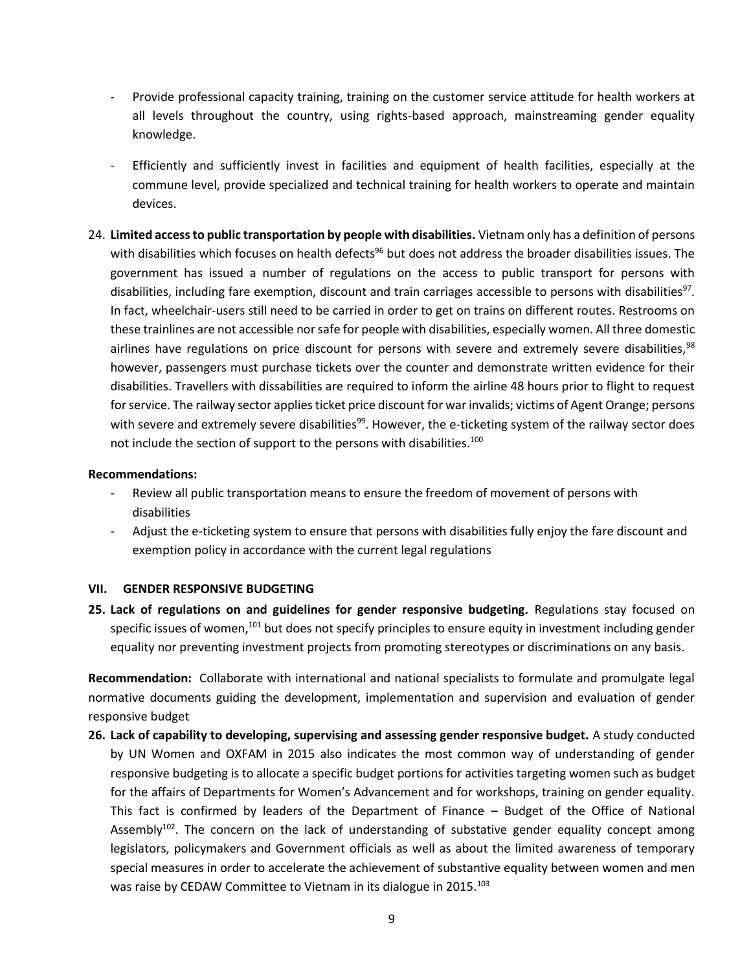- Provide professional capacity training, training on the customer service attitude for health workers at all levels throughout the country, using rights-based approach, mainstreaming gender equality knowledge.
- Efficiently and sufficiently invest in facilities and equipment of health facilities, especially at the commune level, provide specialized and technical training for health workers to operate and maintain devices.
- 24. **Limited access to public transportation by people with disabilities.** Vietnam only has a definition of persons with disabilities which focuses on health defects<sup>96</sup> but does not address the broader disabilities issues. The government has issued a number of regulations on the access to public transport for persons with disabilities, including fare exemption, discount and train carriages accessible to persons with disabilities<sup>97</sup>. In fact, wheelchair-users still need to be carried in order to get on trains on different routes. Restrooms on these trainlines are not accessible nor safe for people with disabilities, especially women. All three domestic airlines have regulations on price discount for persons with severe and extremely severe disabilities,  $98$ however, passengers must purchase tickets over the counter and demonstrate written evidence for their disabilities. Travellers with dissabilities are required to inform the airline 48 hours prior to flight to request for service. The railway sector applies ticket price discount for war invalids; victims of Agent Orange; persons with severe and extremely severe disabilities<sup>99</sup>. However, the e-ticketing system of the railway sector does not include the section of support to the persons with disabilities.<sup>100</sup>

#### **Recommendations:**

- Review all public transportation means to ensure the freedom of movement of persons with disabilities
- Adjust the e-ticketing system to ensure that persons with disabilities fully enjoy the fare discount and exemption policy in accordance with the current legal regulations

## **VII. GENDER RESPONSIVE BUDGETING**

**25. Lack of regulations on and guidelines for gender responsive budgeting.** Regulations stay focused on specific issues of women,<sup>101</sup> but does not specify principles to ensure equity in investment including gender equality nor preventing investment projects from promoting stereotypes or discriminations on any basis.

**Recommendation:** Collaborate with international and national specialists to formulate and promulgate legal normative documents guiding the development, implementation and supervision and evaluation of gender responsive budget

**26. Lack of capability to developing, supervising and assessing gender responsive budget.** A study conducted by UN Women and OXFAM in 2015 also indicates the most common way of understanding of gender responsive budgeting is to allocate a specific budget portions for activities targeting women such as budget for the affairs of Departments for Women's Advancement and for workshops, training on gender equality. This fact is confirmed by leaders of the Department of Finance – Budget of the Office of National Assembly<sup>102</sup>. The concern on the lack of understanding of substative gender equality concept among legislators, policymakers and Government officials as well as about the limited awareness of temporary special measures in order to accelerate the achievement of substantive equality between women and men was raise by CEDAW Committee to Vietnam in its dialogue in 2015.<sup>103</sup>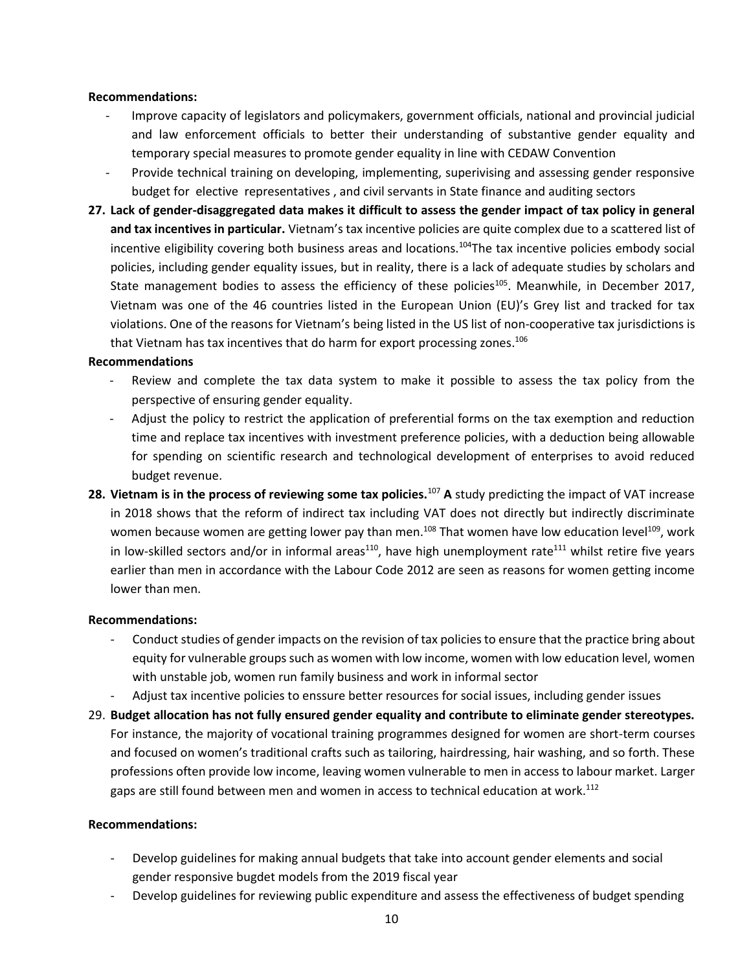## **Recommendations:**

- Improve capacity of legislators and policymakers, government officials, national and provincial judicial and law enforcement officials to better their understanding of substantive gender equality and temporary special measures to promote gender equality in line with CEDAW Convention
- Provide technical training on developing, implementing, superivising and assessing gender responsive budget for elective representatives , and civil servants in State finance and auditing sectors
- **27. Lack of gender-disaggregated data makes it difficult to assess the gender impact of tax policy in general and tax incentives in particular.** Vietnam's tax incentive policies are quite complex due to a scattered list of incentive eligibility covering both business areas and locations.<sup>104</sup>The tax incentive policies embody social policies, including gender equality issues, but in reality, there is a lack of adequate studies by scholars and State management bodies to assess the efficiency of these policies<sup>105</sup>. Meanwhile, in December 2017, Vietnam was one of the 46 countries listed in the European Union (EU)'s Grey list and tracked for tax violations. One of the reasons for Vietnam's being listed in the US list of non-cooperative tax jurisdictions is that Vietnam has tax incentives that do harm for export processing zones.<sup>106</sup>

#### **Recommendations**

- Review and complete the tax data system to make it possible to assess the tax policy from the perspective of ensuring gender equality.
- Adjust the policy to restrict the application of preferential forms on the tax exemption and reduction time and replace tax incentives with investment preference policies, with a deduction being allowable for spending on scientific research and technological development of enterprises to avoid reduced budget revenue.
- **28. Vietnam is in the process of reviewing some tax policies.**<sup>107</sup> **A** study predicting the impact of VAT increase in 2018 shows that the reform of indirect tax including VAT does not directly but indirectly discriminate women because women are getting lower pay than men.<sup>108</sup> That women have low education level<sup>109</sup>, work in low-skilled sectors and/or in informal areas<sup>110</sup>, have high unemployment rate<sup>111</sup> whilst retire five years earlier than men in accordance with the Labour Code 2012 are seen as reasons for women getting income lower than men.

## **Recommendations:**

- Conduct studies of gender impacts on the revision of tax policies to ensure that the practice bring about equity for vulnerable groups such as women with low income, women with low education level, women with unstable job, women run family business and work in informal sector
- Adjust tax incentive policies to enssure better resources for social issues, including gender issues
- 29. **Budget allocation has not fully ensured gender equality and contribute to eliminate gender stereotypes.** For instance, the majority of vocational training programmes designed for women are short-term courses and focused on women's traditional crafts such as tailoring, hairdressing, hair washing, and so forth. These professions often provide low income, leaving women vulnerable to men in access to labour market. Larger gaps are still found between men and women in access to technical education at work.<sup>112</sup>

- Develop guidelines for making annual budgets that take into account gender elements and social gender responsive bugdet models from the 2019 fiscal year
- Develop guidelines for reviewing public expenditure and assess the effectiveness of budget spending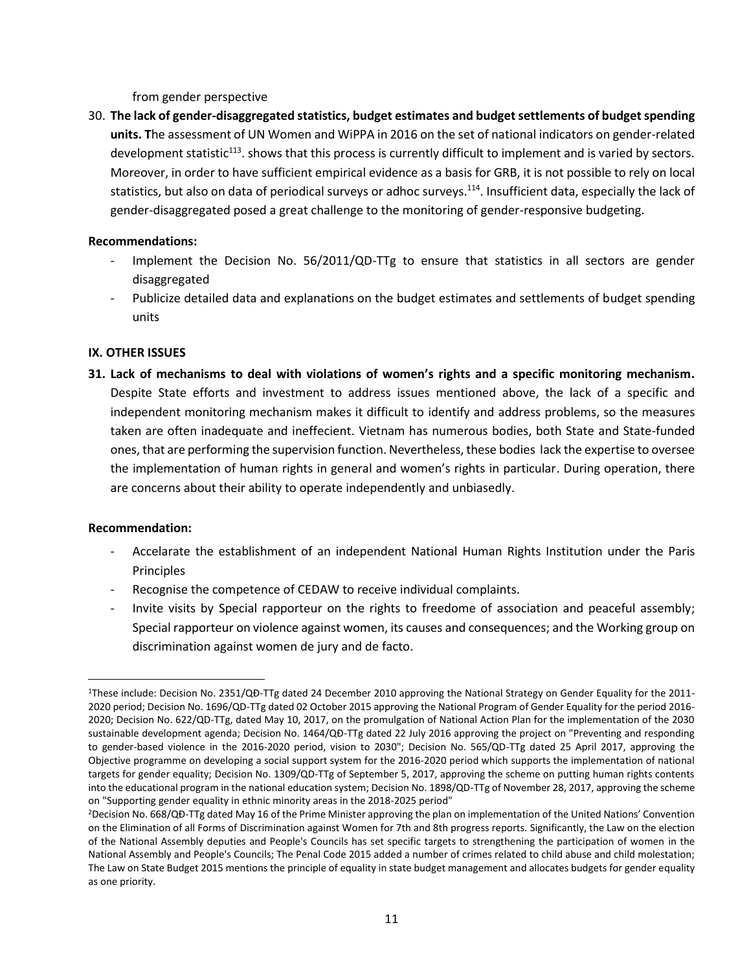from gender perspective

30. **The lack of gender-disaggregated statistics, budget estimates and budget settlements of budget spending units. T**he assessment of UN Women and WiPPA in 2016 on the set of national indicators on gender-related development statistic<sup>113</sup>. shows that this process is currently difficult to implement and is varied by sectors. Moreover, in order to have sufficient empirical evidence as a basis for GRB, it is not possible to rely on local statistics, but also on data of periodical surveys or adhoc surveys.<sup>114</sup>. Insufficient data, especially the lack of gender-disaggregated posed a great challenge to the monitoring of gender-responsive budgeting.

# **Recommendations:**

- Implement the Decision No. 56/2011/QD-TTg to ensure that statistics in all sectors are gender disaggregated
- Publicize detailed data and explanations on the budget estimates and settlements of budget spending units

# **IX. OTHER ISSUES**

**31. Lack of mechanisms to deal with violations of women's rights and a specific monitoring mechanism.**  Despite State efforts and investment to address issues mentioned above, the lack of a specific and independent monitoring mechanism makes it difficult to identify and address problems, so the measures taken are often inadequate and ineffecient. Vietnam has numerous bodies, both State and State-funded ones, that are performing the supervision function. Nevertheless, these bodies lack the expertise to oversee the implementation of human rights in general and women's rights in particular. During operation, there are concerns about their ability to operate independently and unbiasedly.

# **Recommendation:**

 $\overline{a}$ 

- Accelarate the establishment of an independent National Human Rights Institution under the Paris Principles
- Recognise the competence of CEDAW to receive individual complaints.
- Invite visits by Special rapporteur on the rights to freedome of association and peaceful assembly; Special rapporteur on violence against women, its causes and consequences; and the Working group on discrimination against women de jury and de facto.

<sup>1</sup>These include: Decision No. 2351/QĐ-TTg dated 24 December 2010 approving the National Strategy on Gender Equality for the 2011- 2020 period; Decision No. 1696/QD-TTg dated 02 October 2015 approving the National Program of Gender Equality for the period 2016- 2020; Decision No. 622/QD-TTg, dated May 10, 2017, on the promulgation of National Action Plan for the implementation of the 2030 sustainable development agenda; Decision No. 1464/QĐ-TTg dated 22 July 2016 approving the project on "Preventing and responding to gender-based violence in the 2016-2020 period, vision to 2030"; Decision No. 565/QD-TTg dated 25 April 2017, approving the Objective programme on developing a social support system for the 2016-2020 period which supports the implementation of national targets for gender equality; Decision No. 1309/QD-TTg of September 5, 2017, approving the scheme on putting human rights contents into the educational program in the national education system; Decision No. 1898/QD-TTg of November 28, 2017, approving the scheme on "Supporting gender equality in ethnic minority areas in the 2018-2025 period"

<sup>2</sup>Decision No. 668/QĐ-TTg dated May 16 of the Prime Minister approving the plan on implementation of the United Nations' Convention on the Elimination of all Forms of Discrimination against Women for 7th and 8th progress reports. Significantly, the Law on the election of the National Assembly deputies and People's Councils has set specific targets to strengthening the participation of women in the National Assembly and People's Councils; The Penal Code 2015 added a number of crimes related to child abuse and child molestation; The Law on State Budget 2015 mentions the principle of equality in state budget management and allocates budgets for gender equality as one priority.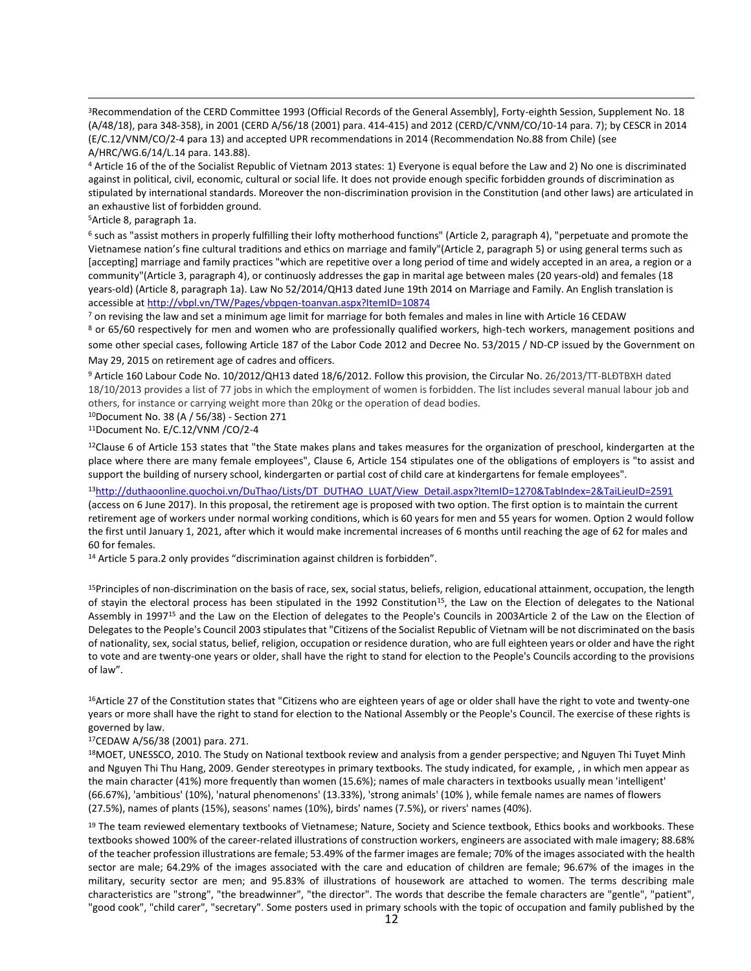<sup>3</sup>Recommendation of the CERD Committee 1993 (Official Records of the General Assembly], Forty-eighth Session, Supplement No. 18 (A/48/18), para 348-358), in 2001 (CERD A/56/18 (2001) para. 414-415) and 2012 (CERD/C/VNM/CO/10-14 para. 7); by CESCR in 2014 (E/C.12/VNM/CO/2-4 para 13) and accepted UPR recommendations in 2014 (Recommendation No.88 from Chile) (see A/HRC/WG.6/14/L.14 para. 143.88).

<sup>4</sup> Article 16 of the of the Socialist Republic of Vietnam 2013 states: 1) Everyone is equal before the Law and 2) No one is discriminated against in political, civil, economic, cultural or social life. It does not provide enough specific forbidden grounds of discrimination as stipulated by international standards. Moreover the non-discrimination provision in the Constitution (and other laws) are articulated in an exhaustive list of forbidden ground.

<sup>5</sup>Article 8, paragraph 1a.

 $\overline{a}$ 

<sup>6</sup> such as "assist mothers in properly fulfilling their lofty motherhood functions" (Article 2, paragraph 4), "perpetuate and promote the Vietnamese nation's fine cultural traditions and ethics on marriage and family"(Article 2, paragraph 5) or using general terms such as [accepting] marriage and family practices "which are repetitive over a long period of time and widely accepted in an area, a region or a community"(Article 3, paragraph 4), or continuosly addresses the gap in marital age between males (20 years-old) and females (18 years-old) (Article 8, paragraph 1a). Law No 52/2014/QH13 dated June 19th 2014 on Marriage and Family. An English translation is accessible a[t http://vbpl.vn/TW/Pages/vbpqen-toanvan.aspx?ItemID=10874](http://vbpl.vn/TW/Pages/vbpqen-toanvan.aspx?ItemID=10874)

<sup>7</sup> on revising the law and set a minimum age limit for marriage for both females and males in line with Article 16 CEDAW

<sup>8</sup> or 65/60 respectively for men and women who are professionally qualified workers, high-tech workers, management positions and some other special cases, following Article 187 of the Labor Code 2012 and Decree No. 53/2015 / ND-CP issued by the Government on May 29, 2015 on retirement age of cadres and officers.

<sup>9</sup> Article 160 Labour Code No. 10/2012/QH13 dated 18/6/2012. Follow this provision, the Circular No. 26/2013/TT-BLĐTBXH dated 18/10/2013 provides a list of 77 jobs in which the employment of women is forbidden. The list includes several manual labour job and others, for instance or carrying weight more than 20kg or the operation of dead bodies.

<sup>10</sup>Document No. 38 (A / 56/38) - Section 271

<sup>11</sup>Document No. E/C.12/VNM /CO/2-4

 $12$ Clause 6 of Article 153 states that "the State makes plans and takes measures for the organization of preschool, kindergarten at the place where there are many female employees", Clause 6, Article 154 stipulates one of the obligations of employers is "to assist and support the building of nursery school, kindergarten or partial cost of child care at kindergartens for female employees".

<sup>13</sup>[http://duthaoonline.quochoi.vn/DuThao/Lists/DT\\_DUTHAO\\_LUAT/View\\_Detail.aspx?ItemID=1270&TabIndex=2&TaiLieuID=2591](http://duthaoonline.quochoi.vn/DuThao/Lists/DT_DUTHAO_LUAT/View_Detail.aspx?ItemID=1270&TabIndex=2&TaiLieuID=2591)

(access on 6 June 2017). In this proposal, the retirement age is proposed with two option. The first option is to maintain the current retirement age of workers under normal working conditions, which is 60 years for men and 55 years for women. Option 2 would follow the first until January 1, 2021, after which it would make incremental increases of 6 months until reaching the age of 62 for males and 60 for females.

<sup>14</sup> Article 5 para.2 only provides "discrimination against children is forbidden".

<sup>15</sup>Principles of non-discrimination on the basis of race, sex, social status, beliefs, religion, educational attainment, occupation, the length of stayin the electoral process has been stipulated in the 1992 Constitution<sup>15</sup>, the Law on the Election of delegates to the National Assembly in 1997<sup>15</sup> and the Law on the Election of delegates to the People's Councils in 2003Article 2 of the Law on the Election of Delegates to the People's Council 2003 stipulates that "Citizens of the Socialist Republic of Vietnam will be not discriminated on the basis of nationality, sex, social status, belief, religion, occupation or residence duration, who are full eighteen years or older and have the right to vote and are twenty-one years or older, shall have the right to stand for election to the People's Councils according to the provisions of law".

<sup>16</sup>Article 27 of the Constitution states that "Citizens who are eighteen years of age or older shall have the right to vote and twenty-one years or more shall have the right to stand for election to the National Assembly or the People's Council. The exercise of these rights is governed by law.

#### <sup>17</sup>CEDAW A/56/38 (2001) para. 271.

18MOET, UNESSCO, 2010. The Study on National textbook review and analysis from a gender perspective; and Nguyen Thi Tuyet Minh and Nguyen Thi Thu Hang, 2009. Gender stereotypes in primary textbooks. The study indicated, for example, , in which men appear as the main character (41%) more frequently than women (15.6%); names of male characters in textbooks usually mean 'intelligent' (66.67%), 'ambitious' (10%), 'natural phenomenons' (13.33%), 'strong animals' (10% ), while female names are names of flowers (27.5%), names of plants (15%), seasons' names (10%), birds' names (7.5%), or rivers' names (40%).

19 The team reviewed elementary textbooks of Vietnamese; Nature, Society and Science textbook, Ethics books and workbooks. These textbooks showed 100% of the career-related illustrations of construction workers, engineers are associated with male imagery; 88.68% of the teacher profession illustrations are female; 53.49% of the farmer images are female; 70% of the images associated with the health sector are male; 64.29% of the images associated with the care and education of children are female; 96.67% of the images in the military, security sector are men; and 95.83% of illustrations of housework are attached to women. The terms describing male characteristics are "strong", "the breadwinner", "the director". The words that describe the female characters are "gentle", "patient", "good cook", "child carer", "secretary". Some posters used in primary schools with the topic of occupation and family published by the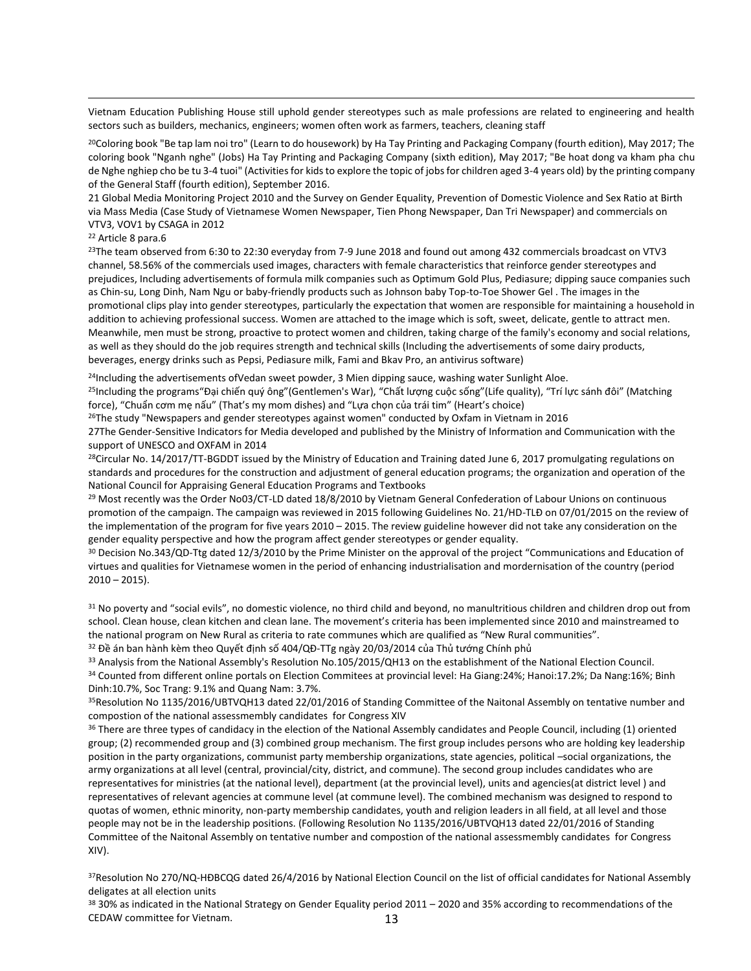Vietnam Education Publishing House still uphold gender stereotypes such as male professions are related to engineering and health sectors such as builders, mechanics, engineers; women often work as farmers, teachers, cleaning staff

<sup>20</sup>Coloring book "Be tap lam noi tro" (Learn to do housework) by Ha Tay Printing and Packaging Company (fourth edition), May 2017; The coloring book "Nganh nghe" (Jobs) Ha Tay Printing and Packaging Company (sixth edition), May 2017; "Be hoat dong va kham pha chu de Nghe nghiep cho be tu 3-4 tuoi" (Activities for kids to explore the topic of jobs for children aged 3-4 years old) by the printing company of the General Staff (fourth edition), September 2016.

21 Global Media Monitoring Project 2010 and the Survey on Gender Equality, Prevention of Domestic Violence and Sex Ratio at Birth via Mass Media (Case Study of Vietnamese Women Newspaper, Tien Phong Newspaper, Dan Tri Newspaper) and commercials on VTV3, VOV1 by CSAGA in 2012

<sup>22</sup> Article 8 para.6

 $\overline{a}$ 

<sup>23</sup>The team observed from 6:30 to 22:30 everyday from 7-9 June 2018 and found out among 432 commercials broadcast on VTV3 channel, 58.56% of the commercials used images, characters with female characteristics that reinforce gender stereotypes and prejudices, Including advertisements of formula milk companies such as Optimum Gold Plus, Pediasure; dipping sauce companies such as Chin-su, Long Dinh, Nam Ngu or baby-friendly products such as Johnson baby Top-to-Toe Shower Gel . The images in the promotional clips play into gender stereotypes, particularly the expectation that women are responsible for maintaining a household in addition to achieving professional success. Women are attached to the image which is soft, sweet, delicate, gentle to attract men. Meanwhile, men must be strong, proactive to protect women and children, taking charge of the family's economy and social relations, as well as they should do the job requires strength and technical skills (Including the advertisements of some dairy products, beverages, energy drinks such as Pepsi, Pediasure milk, Fami and Bkav Pro, an antivirus software)

<sup>24</sup>Including the advertisements of Vedan sweet powder, 3 Mien dipping sauce, washing water Sunlight Aloe.

<sup>25</sup>Including the programs "Đại chiến quý ông" (Gentlemen's War), "Chất lượng cuộc sống" (Life quality), "Trí lực sánh đôi" (Matching force), "Chuẩn cơm mẹ nấu" (That's my mom dishes) and "Lựa chọn của trái tim" (Heart's choice)

<sup>26</sup>The study "Newspapers and gender stereotypes against women" conducted by Oxfam in Vietnam in 2016

27The Gender-Sensitive Indicators for Media developed and published by the Ministry of Information and Communication with the support of UNESCO and OXFAM in 2014

<sup>28</sup>Circular No. 14/2017/TT-BGDDT issued by the Ministry of Education and Training dated June 6, 2017 promulgating regulations on standards and procedures for the construction and adjustment of general education programs; the organization and operation of the National Council for Appraising General Education Programs and Textbooks

<sup>29</sup> Most recently was the Order No03/CT-LD dated 18/8/2010 by Vietnam General Confederation of Labour Unions on continuous promotion of the campaign. The campaign was reviewed in 2015 following Guidelines No. 21/HD-TLĐ on 07/01/2015 on the review of the implementation of the program for five years 2010 – 2015. The review guideline however did not take any consideration on the gender equality perspective and how the program affect gender stereotypes or gender equality.

<sup>30</sup> Decision No.343/QD-Ttg dated 12/3/2010 by the Prime Minister on the approval of the project "Communications and Education of virtues and qualities for Vietnamese women in the period of enhancing industrialisation and mordernisation of the country (period  $2010 - 2015$ ).

<sup>31</sup> No poverty and "social evils", no domestic violence, no third child and beyond, no manultritious children and children drop out from school. Clean house, clean kitchen and clean lane. The movement's criteria has been implemented since 2010 and mainstreamed to the national program on New Rural as criteria to rate communes which are qualified as "New Rural communities".

<sup>32</sup> Đề án ban hành kèm theo Quyết định số 404/QĐ-TTg ngày 20/03/2014 của Thủ tướng Chính phủ

33 Analysis from the National Assembly's Resolution No.105/2015/QH13 on the establishment of the National Election Council. <sup>34</sup> Counted from different online portals on Election Commitees at provincial level: Ha Giang:24%; Hanoi:17.2%; Da Nang:16%; Binh Dinh:10.7%, Soc Trang: 9.1% and Quang Nam: 3.7%.

<sup>35</sup>Resolution No 1135/2016/UBTVQH13 dated 22/01/2016 of Standing Committee of the Naitonal Assembly on tentative number and compostion of the national assessmembly candidates for Congress XIV

<sup>36</sup> There are three types of candidacy in the election of the National Assembly candidates and People Council, including (1) oriented group; (2) recommended group and (3) combined group mechanism. The first group includes persons who are holding key leadership position in the party organizations, communist party membership organizations, state agencies, political –social organizations, the army organizations at all level (central, provincial/city, district, and commune). The second group includes candidates who are representatives for ministries (at the national level), department (at the provincial level), units and agencies(at district level ) and representatives of relevant agencies at commune level (at commune level). The combined mechanism was designed to respond to quotas of women, ethnic minority, non-party membership candidates, youth and religion leaders in all field, at all level and those people may not be in the leadership positions. (Following Resolution No 1135/2016/UBTVQH13 dated 22/01/2016 of Standing Committee of the Naitonal Assembly on tentative number and compostion of the national assessmembly candidates for Congress XIV).

<sup>37</sup>Resolution No 270/NQ-HĐBCQG dated 26/4/2016 by National Election Council on the list of official candidates for National Assembly deligates at all election units

13 <sup>38</sup> 30% as indicated in the National Strategy on Gender Equality period 2011 – 2020 and 35% according to recommendations of the CEDAW committee for Vietnam.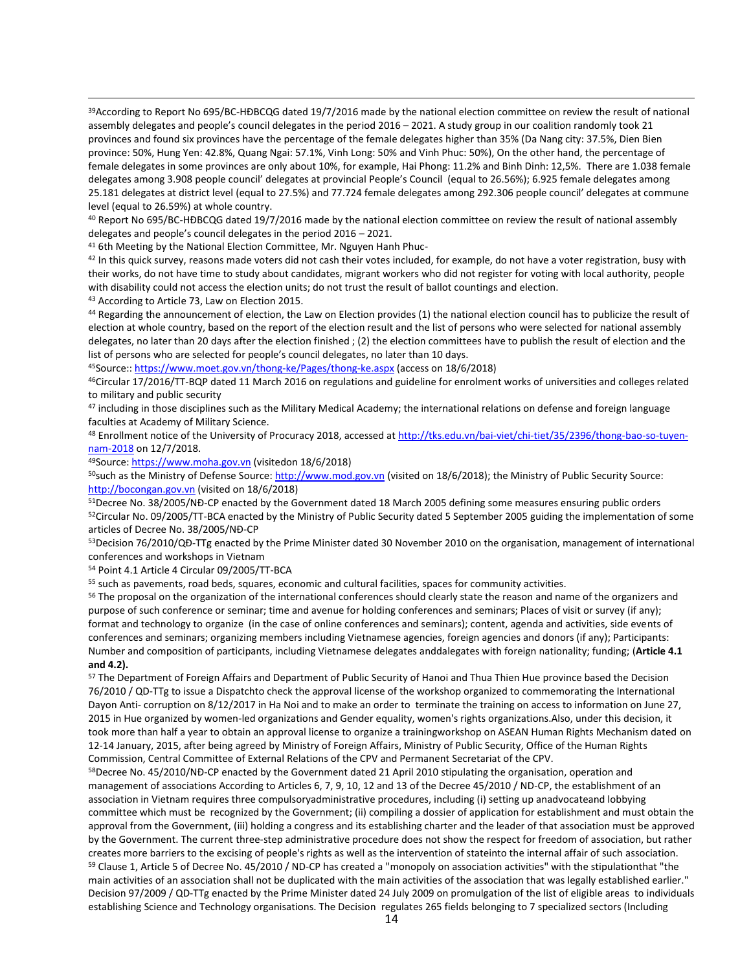<sup>39</sup>According to Report No 695/BC-HĐBCQG dated 19/7/2016 made by the national election committee on review the result of national assembly delegates and people's council delegates in the period 2016 – 2021. A study group in our coalition randomly took 21 provinces and found six provinces have the percentage of the female delegates higher than 35% (Da Nang city: 37.5%, Dien Bien province: 50%, Hung Yen: 42.8%, Quang Ngai: 57.1%, Vinh Long: 50% and Vinh Phuc: 50%), On the other hand, the percentage of female delegates in some provinces are only about 10%, for example, Hai Phong: 11.2% and Binh Dinh: 12,5%. There are 1.038 female delegates among 3.908 people council' delegates at provincial People's Council (equal to 26.56%); 6.925 female delegates among 25.181 delegates at district level (equal to 27.5%) and 77.724 female delegates among 292.306 people council' delegates at commune level (equal to 26.59%) at whole country.

<sup>40</sup> Report No 695/BC-HĐBCQG dated 19/7/2016 made by the national election committee on review the result of national assembly delegates and people's council delegates in the period 2016 – 2021.

<sup>41</sup> 6th Meeting by the National Election Committee, Mr. Nguyen Hanh Phuc-

 $42$  In this quick survey, reasons made voters did not cash their votes included, for example, do not have a voter registration, busy with their works, do not have time to study about candidates, migrant workers who did not register for voting with local authority, people with disability could not access the election units; do not trust the result of ballot countings and election.

<sup>43</sup> According to Article 73, Law on Election 2015.

 $\overline{a}$ 

44 Regarding the announcement of election, the Law on Election provides (1) the national election council has to publicize the result of election at whole country, based on the report of the election result and the list of persons who were selected for national assembly delegates, no later than 20 days after the election finished ; (2) the election committees have to publish the result of election and the list of persons who are selected for people's council delegates, no later than 10 days.

<sup>45</sup>Source::<https://www.moet.gov.vn/thong-ke/Pages/thong-ke.aspx> (access on 18/6/2018)

<sup>46</sup>Circular 17/2016/TT-BQP dated 11 March 2016 on regulations and guideline for enrolment works of universities and colleges related to military and public security

47 including in those disciplines such as the Military Medical Academy; the international relations on defense and foreign language faculties at Academy of Military Science.

48 Enrollment notice of the University of Procuracy 2018, accessed at [http://tks.edu.vn/bai-viet/chi-tiet/35/2396/thong-bao-so-tuyen](http://tks.edu.vn/bai-viet/chi-tiet/35/2396/thong-bao-so-tuyen-nam-2018)[nam-2018](http://tks.edu.vn/bai-viet/chi-tiet/35/2396/thong-bao-so-tuyen-nam-2018) on 12/7/2018.

<sup>49</sup>Source[: https://www.moha.gov.vn](https://www.moha.gov.vn/) (visitedon 18/6/2018)

<sup>50</sup>such as the Ministry of Defense Source[: http://www.mod.gov.vn](http://www.mod.gov.vn/) (visited on 18/6/2018); the Ministry of Public Security Source: [http://bocongan.gov.vn](http://bocongan.gov.vn/) (visited on 18/6/2018)

51Decree No. 38/2005/NĐ-CP enacted by the Government dated 18 March 2005 defining some measures ensuring public orders 52Circular No. 09/2005/TT-BCA enacted by the Ministry of Public Security dated 5 September 2005 guiding the implementation of some articles of Decree No. 38/2005/NĐ-CP

<sup>53</sup>Decision 76/2010/QĐ-TTg enacted by the Prime Minister dated 30 November 2010 on the organisation, management of international conferences and workshops in Vietnam

<sup>54</sup> Point 4.1 Article 4 Circular 09/2005/TT-BCA

<sup>55</sup> such as pavements, road beds, squares, economic and cultural facilities, spaces for community activities.

56 The proposal on the organization of the international conferences should clearly state the reason and name of the organizers and purpose of such conference or seminar; time and avenue for holding conferences and seminars; Places of visit or survey (if any); format and technology to organize (in the case of online conferences and seminars); content, agenda and activities, side events of conferences and seminars; organizing members including Vietnamese agencies, foreign agencies and donors (if any); Participants: Number and composition of participants, including Vietnamese delegates anddalegates with foreign nationality; funding; (**Article 4.1 and 4.2).**

57 The Department of Foreign Affairs and Department of Public Security of Hanoi and Thua Thien Hue province based the Decision 76/2010 / QD-TTg to issue a Dispatchto check the approval license of the workshop organized to commemorating the International Dayon Anti- corruption on 8/12/2017 in Ha Noi and to make an order to terminate the training on access to information on June 27, 2015 in Hue organized by women-led organizations and Gender equality, women's rights organizations.Also, under this decision, it took more than half a year to obtain an approval license to organize a trainingworkshop on ASEAN Human Rights Mechanism dated on 12-14 January, 2015, after being agreed by Ministry of Foreign Affairs, Ministry of Public Security, Office of the Human Rights Commission, Central Committee of External Relations of the CPV and Permanent Secretariat of the CPV.

<sup>58</sup>Decree No. 45/2010/NĐ-CP enacted by the Government dated 21 April 2010 stipulating the organisation, operation and management of associations According to Articles 6, 7, 9, 10, 12 and 13 of the Decree 45/2010 / ND-CP, the establishment of an association in Vietnam requires three compulsoryadministrative procedures, including (i) setting up anadvocateand lobbying committee which must be recognized by the Government; (ii) compiling a dossier of application for establishment and must obtain the approval from the Government, (iii) holding a congress and its establishing charter and the leader of that association must be approved by the Government. The current three-step administrative procedure does not show the respect for freedom of association, but rather creates more barriers to the excising of people's rights as well as the intervention of stateinto the internal affair of such association. <sup>59</sup> Clause 1, Article 5 of Decree No. 45/2010 / ND-CP has created a "monopoly on association activities" with the stipulationthat "the main activities of an association shall not be duplicated with the main activities of the association that was legally established earlier." Decision 97/2009 / QD-TTg enacted by the Prime Minister dated 24 July 2009 on promulgation of the list of eligible areas to individuals establishing Science and Technology organisations. The Decision regulates 265 fields belonging to 7 specialized sectors (Including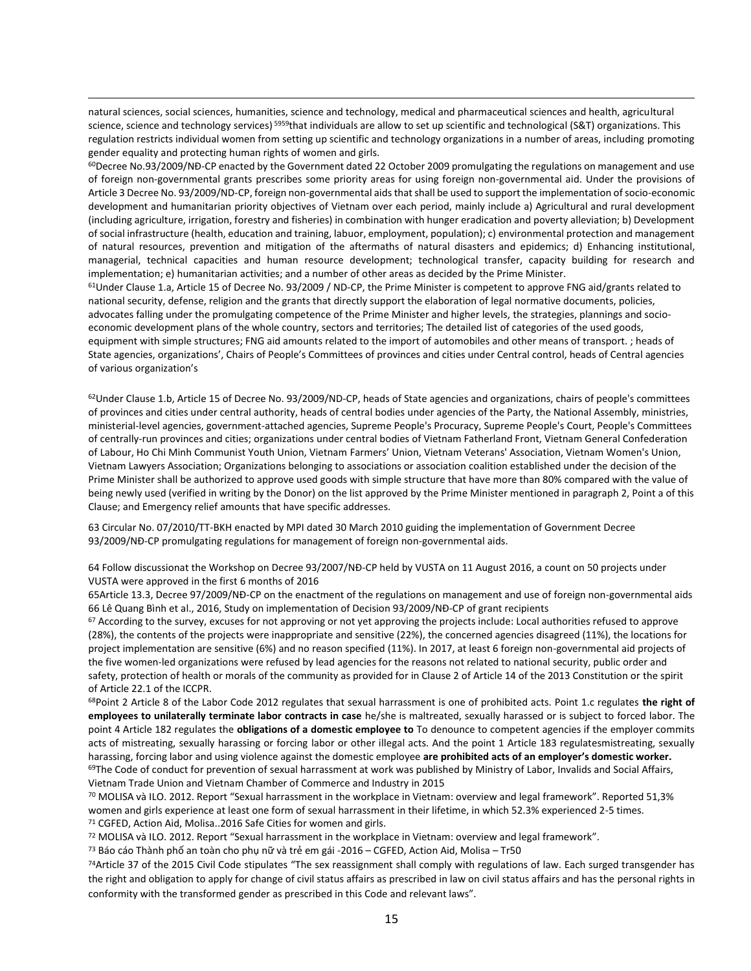natural sciences, social sciences, humanities, science and technology, medical and pharmaceutical sciences and health, agricultural science, science and technology services) <sup>5959</sup>that individuals are allow to set up scientific and technological (S&T) organizations. This regulation restricts individual women from setting up scientific and technology organizations in a number of areas, including promoting gender equality and protecting human rights of women and girls.

 $\overline{a}$ 

 $60$ Decree No.93/2009/NĐ-CP enacted by the Government dated 22 October 2009 promulgating the regulations on management and use of foreign non-governmental grants prescribes some priority areas for using foreign non-governmental aid. Under the provisions of Article 3 Decree No. 93/2009/ND-CP, foreign non-governmental aids that shall be used to support the implementation of socio-economic development and humanitarian priority objectives of Vietnam over each period, mainly include a) Agricultural and rural development (including agriculture, irrigation, forestry and fisheries) in combination with hunger eradication and poverty alleviation; b) Development of social infrastructure (health, education and training, labuor, employment, population); c) environmental protection and management of natural resources, prevention and mitigation of the aftermaths of natural disasters and epidemics; d) Enhancing institutional, managerial, technical capacities and human resource development; technological transfer, capacity building for research and implementation; e) humanitarian activities; and a number of other areas as decided by the Prime Minister.

 $61$ Under Clause 1.a, Article 15 of Decree No. 93/2009 / ND-CP, the Prime Minister is competent to approve FNG aid/grants related to national security, defense, religion and the grants that directly support the elaboration of legal normative documents, policies, advocates falling under the promulgating competence of the Prime Minister and higher levels, the strategies, plannings and socioeconomic development plans of the whole country, sectors and territories; The detailed list of categories of the used goods, equipment with simple structures; FNG aid amounts related to the import of automobiles and other means of transport. ; heads of State agencies, organizations', Chairs of People's Committees of provinces and cities under Central control, heads of Central agencies of various organization's

 $62$ Under Clause 1.b, Article 15 of Decree No. 93/2009/ND-CP, heads of State agencies and organizations, chairs of people's committees of provinces and cities under central authority, heads of central bodies under agencies of the Party, the National Assembly, ministries, ministerial-level agencies, government-attached agencies, Supreme People's Procuracy, Supreme People's Court, People's Committees of centrally-run provinces and cities; organizations under central bodies of Vietnam Fatherland Front, Vietnam General Confederation of Labour, Ho Chi Minh Communist Youth Union, Vietnam Farmers' Union, Vietnam Veterans' Association, Vietnam Women's Union, Vietnam Lawyers Association; Organizations belonging to associations or association coalition established under the decision of the Prime Minister shall be authorized to approve used goods with simple structure that have more than 80% compared with the value of being newly used (verified in writing by the Donor) on the list approved by the Prime Minister mentioned in paragraph 2, Point a of this Clause; and Emergency relief amounts that have specific addresses.

63 Circular No. 07/2010/TT-BKH enacted by MPI dated 30 March 2010 guiding the implementation of Government Decree 93/2009/NĐ-CP promulgating regulations for management of foreign non-governmental aids.

64 Follow discussionat the Workshop on Decree 93/2007/NĐ-CP held by VUSTA on 11 August 2016, a count on 50 projects under VUSTA were approved in the first 6 months of 2016

65Article 13.3, Decree 97/2009/NĐ-CP on the enactment of the regulations on management and use of foreign non-governmental aids 66 Lê Quang Bình et al., 2016, Study on implementation of Decision 93/2009/NĐ-CP of grant recipients

 $67$  According to the survey, excuses for not approving or not yet approving the projects include: Local authorities refused to approve (28%), the contents of the projects were inappropriate and sensitive (22%), the concerned agencies disagreed (11%), the locations for project implementation are sensitive (6%) and no reason specified (11%). In 2017, at least 6 foreign non-governmental aid projects of the five women-led organizations were refused by lead agencies for the reasons not related to national security, public order and safety, protection of health or morals of the community as provided for in Clause 2 of Article 14 of the 2013 Constitution or the spirit of Article 22.1 of the ICCPR.

<sup>68</sup>Point 2 Article 8 of the Labor Code 2012 regulates that sexual harrassment is one of prohibited acts. Point 1.c regulates **the right of employees to unilaterally terminate labor contracts in case** he/she is maltreated, sexually harassed or is subject to forced labor. The point 4 Article 182 regulates the **obligations of a domestic employee to** To denounce to competent agencies if the employer commits acts of mistreating, sexually harassing or forcing labor or other illegal acts. And the point 1 Article 183 regulatesmistreating, sexually harassing, forcing labor and using violence against the domestic employee **are prohibited acts of an employer's domestic worker.**  $69$ The Code of conduct for prevention of sexual harrassment at work was published by Ministry of Labor, Invalids and Social Affairs, Vietnam Trade Union and Vietnam Chamber of Commerce and Industry in 2015

<sup>70</sup> MOLISA và ILO. 2012. Report "Sexual harrassment in the workplace in Vietnam: overview and legal framework". Reported 51,3% women and girls experience at least one form of sexual harrassment in their lifetime, in which 52.3% experienced 2-5 times. <sup>71</sup> CGFED, Action Aid, Molisa..2016 Safe Cities for women and girls.

<sup>72</sup> MOLISA và ILO. 2012. Report "Sexual harrassment in the workplace in Vietnam: overview and legal framework".

<sup>73</sup> Báo cáo Thành phố an toàn cho phụ nữ và trẻ em gái -2016 – CGFED, Action Aid, Molisa – Tr50

<sup>74</sup>Article 37 of the 2015 Civil Code stipulates "The sex reassignment shall comply with regulations of law. Each surged transgender has the right and obligation to apply for change of civil status affairs as prescribed in law on civil status affairs and has the personal rights in conformity with the transformed gender as prescribed in this Code and relevant laws".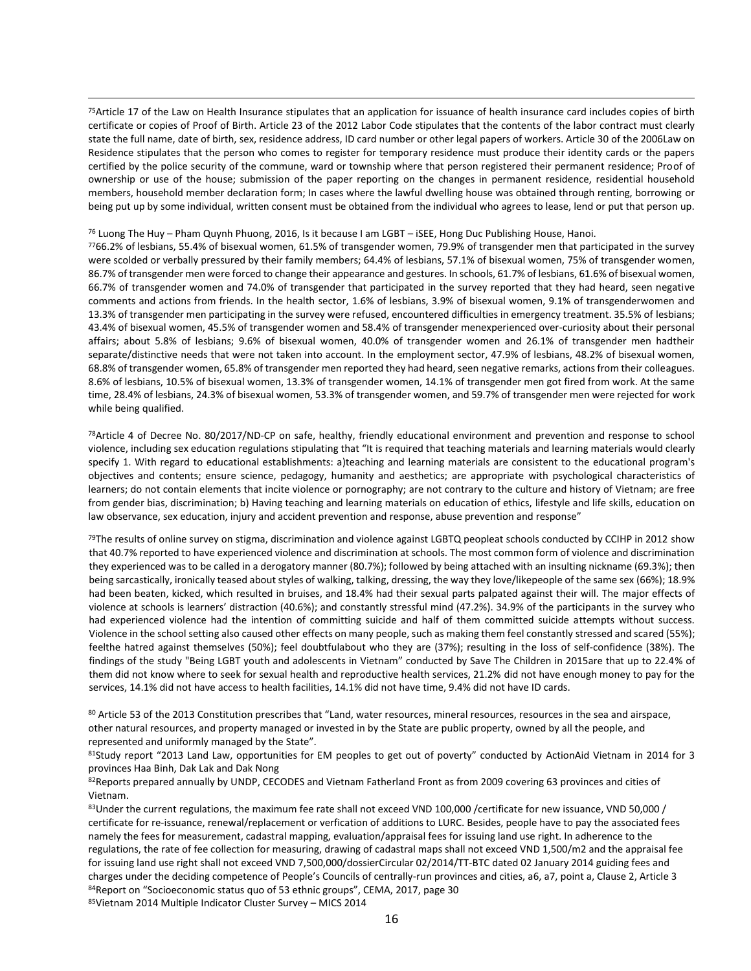<sup>75</sup>Article 17 of the Law on Health Insurance stipulates that an application for issuance of health insurance card includes copies of birth certificate or copies of Proof of Birth. Article 23 of the 2012 Labor Code stipulates that the contents of the labor contract must clearly state the full name, date of birth, sex, residence address, ID card number or other legal papers of workers. Article 30 of the 2006Law on Residence stipulates that the person who comes to register for temporary residence must produce their identity cards or the papers certified by the police security of the commune, ward or township where that person registered their permanent residence; Proof of ownership or use of the house; submission of the paper reporting on the changes in permanent residence, residential household members, household member declaration form; In cases where the lawful dwelling house was obtained through renting, borrowing or being put up by some individual, written consent must be obtained from the individual who agrees to lease, lend or put that person up.

#### <sup>76</sup> Luong The Huy – Pham Quynh Phuong, 2016, Is it because I am LGBT – iSEE, Hong Duc Publishing House, Hanoi.

 $\overline{a}$ 

<sup>77</sup>66.2% of lesbians, 55.4% of bisexual women, 61.5% of transgender women, 79.9% of transgender men that participated in the survey were scolded or verbally pressured by their family members; 64.4% of lesbians, 57.1% of bisexual women, 75% of transgender women, 86.7% of transgender men were forced to change their appearance and gestures. In schools, 61.7% of lesbians, 61.6% of bisexual women, 66.7% of transgender women and 74.0% of transgender that participated in the survey reported that they had heard, seen negative comments and actions from friends. In the health sector, 1.6% of lesbians, 3.9% of bisexual women, 9.1% of transgenderwomen and 13.3% of transgender men participating in the survey were refused, encountered difficulties in emergency treatment. 35.5% of lesbians; 43.4% of bisexual women, 45.5% of transgender women and 58.4% of transgender menexperienced over-curiosity about their personal affairs; about 5.8% of lesbians; 9.6% of bisexual women, 40.0% of transgender women and 26.1% of transgender men hadtheir separate/distinctive needs that were not taken into account. In the employment sector, 47.9% of lesbians, 48.2% of bisexual women, 68.8% of transgender women, 65.8% of transgender men reported they had heard, seen negative remarks, actions from their colleagues. 8.6% of lesbians, 10.5% of bisexual women, 13.3% of transgender women, 14.1% of transgender men got fired from work. At the same time, 28.4% of lesbians, 24.3% of bisexual women, 53.3% of transgender women, and 59.7% of transgender men were rejected for work while being qualified.

<sup>78</sup>Article 4 of Decree No. 80/2017/ND-CP on safe, healthy, friendly educational environment and prevention and response to school violence, including sex education regulations stipulating that "It is required that teaching materials and learning materials would clearly specify 1. With regard to educational establishments: a)teaching and learning materials are consistent to the educational program's objectives and contents; ensure science, pedagogy, humanity and aesthetics; are appropriate with psychological characteristics of learners; do not contain elements that incite violence or pornography; are not contrary to the culture and history of Vietnam; are free from gender bias, discrimination; b) Having teaching and learning materials on education of ethics, lifestyle and life skills, education on law observance, sex education, injury and accident prevention and response, abuse prevention and response"

79The results of online survey on stigma, discrimination and violence against LGBTQ peopleat schools conducted by CCIHP in 2012 show that 40.7% reported to have experienced violence and discrimination at schools. The most common form of violence and discrimination they experienced was to be called in a derogatory manner (80.7%); followed by being attached with an insulting nickname (69.3%); then being sarcastically, ironically teased about styles of walking, talking, dressing, the way they love/likepeople of the same sex (66%); 18.9% had been beaten, kicked, which resulted in bruises, and 18.4% had their sexual parts palpated against their will. The major effects of violence at schools is learners' distraction (40.6%); and constantly stressful mind (47.2%). 34.9% of the participants in the survey who had experienced violence had the intention of committing suicide and half of them committed suicide attempts without success. Violence in the school setting also caused other effects on many people, such as making them feel constantly stressed and scared (55%); feelthe hatred against themselves (50%); feel doubtfulabout who they are (37%); resulting in the loss of self-confidence (38%). The findings of the study "Being LGBT youth and adolescents in Vietnam" conducted by Save The Children in 2015are that up to 22.4% of them did not know where to seek for sexual health and reproductive health services, 21.2% did not have enough money to pay for the services, 14.1% did not have access to health facilities, 14.1% did not have time, 9.4% did not have ID cards.

80 Article 53 of the 2013 Constitution prescribes that "Land, water resources, mineral resources, resources in the sea and airspace, other natural resources, and property managed or invested in by the State are public property, owned by all the people, and represented and uniformly managed by the State".

81Study report "2013 Land Law, opportunities for EM peoples to get out of poverty" conducted by ActionAid Vietnam in 2014 for 3 provinces Haa Binh, Dak Lak and Dak Nong

82Reports prepared annually by UNDP, CECODES and Vietnam Fatherland Front as from 2009 covering 63 provinces and cities of Vietnam.

83Under the current regulations, the maximum fee rate shall not exceed VND 100,000 /certificate for new issuance, VND 50,000 / certificate for re-issuance, renewal/replacement or verfication of additions to LURC. Besides, people have to pay the associated fees namely the fees for measurement, cadastral mapping, evaluation/appraisal fees for issuing land use right. In adherence to the regulations, the rate of fee collection for measuring, drawing of cadastral maps shall not exceed VND 1,500/m2 and the appraisal fee for issuing land use right shall not exceed VND 7,500,000/dossierCircular 02/2014/TT-BTC dated 02 January 2014 guiding fees and charges under the deciding competence of People's Councils of centrally-run provinces and cities, a6, a7, point a, Clause 2, Article 3 84Report on "Socioeconomic status quo of 53 ethnic groups", CEMA, 2017, page 30

<sup>85</sup>Vietnam 2014 Multiple Indicator Cluster Survey – MICS 2014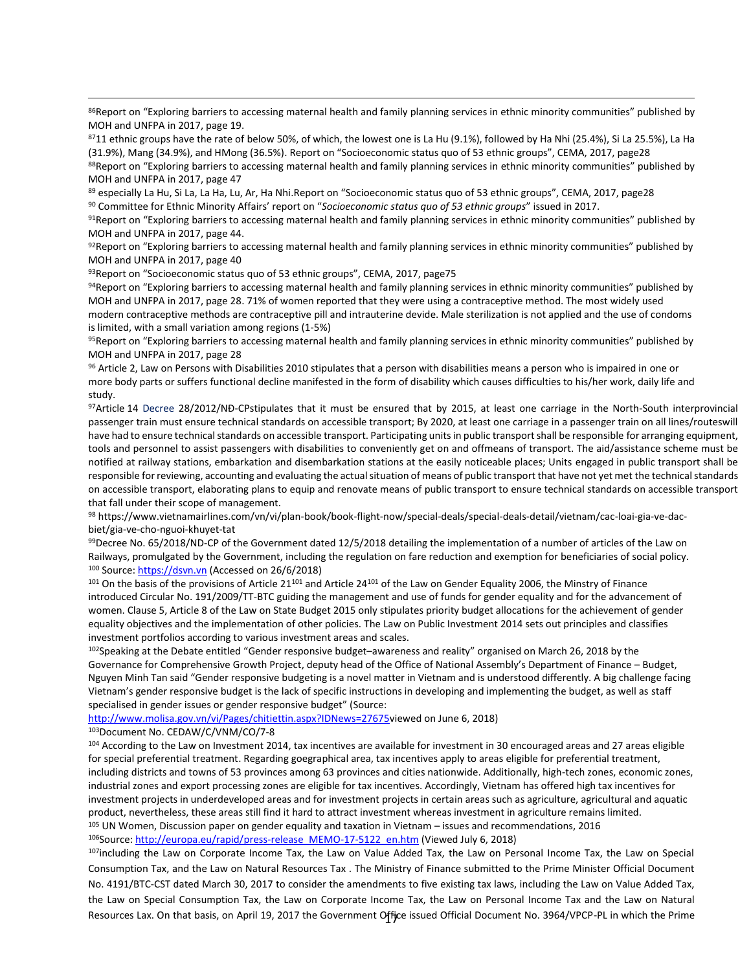86Report on "Exploring barriers to accessing maternal health and family planning services in ethnic minority communities" published by MOH and UNFPA in 2017, page 19.

<sup>87</sup>11 ethnic groups have the rate of below 50%, of which, the lowest one is La Hu (9.1%), followed by Ha Nhi (25.4%), Si La 25.5%), La Ha (31.9%), Mang (34.9%), and HMong (36.5%). Report on "Socioeconomic status quo of 53 ethnic groups", CEMA, 2017, page28

88Report on "Exploring barriers to accessing maternal health and family planning services in ethnic minority communities" published by MOH and UNFPA in 2017, page 47

<sup>89</sup> especially La Hu, Si La, La Ha, Lu, Ar, Ha Nhi.Report on "Socioeconomic status quo of 53 ethnic groups", CEMA, 2017, page28 <sup>90</sup> Committee for Ethnic Minority Affairs' report on "*Socioeconomic status quo of 53 ethnic groups*" issued in 2017.

 $91$ Report on "Exploring barriers to accessing maternal health and family planning services in ethnic minority communities" published by MOH and UNFPA in 2017, page 44.

 $92$ Report on "Exploring barriers to accessing maternal health and family planning services in ethnic minority communities" published by MOH and UNFPA in 2017, page 40

93 Report on "Socioeconomic status quo of 53 ethnic groups", CEMA, 2017, page 75

94Report on "Exploring barriers to accessing maternal health and family planning services in ethnic minority communities" published by MOH and UNFPA in 2017, page 28. 71% of women reported that they were using a contraceptive method. The most widely used modern contraceptive methods are contraceptive pill and intrauterine devide. Male sterilization is not applied and the use of condoms is limited, with a small variation among regions (1-5%)

95Report on "Exploring barriers to accessing maternal health and family planning services in ethnic minority communities" published by MOH and UNFPA in 2017, page 28

<sup>96</sup> Article 2, Law on Persons with Disabilities 2010 stipulates that a person with disabilities means a person who is impaired in one or more body parts or suffers functional decline manifested in the form of disability which causes difficulties to his/her work, daily life and study.

<sup>97</sup>Article 14 Decree 28/2012/NĐ-CPstipulates that it must be ensured that by 2015, at least one carriage in the North-South interprovincial passenger train must ensure technical standards on accessible transport; By 2020, at least one carriage in a passenger train on all lines/routeswill have had to ensure technical standards on accessible transport. Participating units in public transport shall be responsible for arranging equipment, tools and personnel to assist passengers with disabilities to conveniently get on and offmeans of transport. The aid/assistance scheme must be notified at railway stations, embarkation and disembarkation stations at the easily noticeable places; Units engaged in public transport shall be responsible for reviewing, accounting and evaluating the actual situation of means of public transport that have not yet met the technical standards on accessible transport, elaborating plans to equip and renovate means of public transport to ensure technical standards on accessible transport that fall under their scope of management.

<sup>98</sup> https://www.vietnamairlines.com/vn/vi/plan-book/book-flight-now/special-deals/special-deals-detail/vietnam/cac-loai-gia-ve-dacbiet/gia-ve-cho-nguoi-khuyet-tat

 $99$ Decree No. 65/2018/ND-CP of the Government dated 12/5/2018 detailing the implementation of a number of articles of the Law on Railways, promulgated by the Government, including the regulation on fare reduction and exemption for beneficiaries of social policy. <sup>100</sup> Source[: https://dsvn.vn](https://dsvn.vn/) (Accessed on 26/6/2018)

101 On the basis of the provisions of Article 21<sup>101</sup> and Article 24<sup>101</sup> of the Law on Gender Equality 2006, the Minstry of Finance introduced Circular No. 191/2009/TT-BTC guiding the management and use of funds for gender equality and for the advancement of women. Clause 5, Article 8 of the Law on State Budget 2015 only stipulates priority budget allocations for the achievement of gender equality objectives and the implementation of other policies. The Law on Public Investment 2014 sets out principles and classifies investment portfolios according to various investment areas and scales.

 $102$ Speaking at the Debate entitled "Gender responsive budget–awareness and reality" organised on March 26, 2018 by the Governance for Comprehensive Growth Project, deputy head of the Office of National Assembly's Department of Finance – Budget, Nguyen Minh Tan said "Gender responsive budgeting is a novel matter in Vietnam and is understood differently. A big challenge facing Vietnam's gender responsive budget is the lack of specific instructions in developing and implementing the budget, as well as staff specialised in gender issues or gender responsive budget" (Source:

[http://www.molisa.gov.vn/vi/Pages/chitiettin.aspx?IDNews=27675v](http://www.molisa.gov.vn/vi/Pages/chitiettin.aspx?IDNews=27675)iewed on June 6, 2018)

<sup>103</sup>Document No. CEDAW/C/VNM/CO/7-8

 $\overline{a}$ 

104 According to the Law on Investment 2014, tax incentives are available for investment in 30 encouraged areas and 27 areas eligible for special preferential treatment. Regarding goegraphical area, tax incentives apply to areas eligible for preferential treatment, including districts and towns of 53 provinces among 63 provinces and cities nationwide. Additionally, high-tech zones, economic zones, industrial zones and export processing zones are eligible for tax incentives. Accordingly, Vietnam has offered high tax incentives for investment projects in underdeveloped areas and for investment projects in certain areas such as agriculture, agricultural and aquatic product, nevertheless, these areas still find it hard to attract investment whereas investment in agriculture remains limited. <sup>105</sup> UN Women, Discussion paper on gender equality and taxation in Vietnam – issues and recommendations, 2016 106Source[: http://europa.eu/rapid/press-release\\_MEMO-17-5122\\_en.htm](http://europa.eu/rapid/press-release_MEMO-17-5122_en.htm) (Viewed July 6, 2018)

Resources Lax. On that basis, on April 19, 2017 the Government Office issued Official Document No. 3964/VPCP-PL in which the Prime 107including the Law on Corporate Income Tax, the Law on Value Added Tax, the Law on Personal Income Tax, the Law on Special Consumption Tax, and the Law on Natural Resources Tax . The Ministry of Finance submitted to the Prime Minister Official Document No. 4191/BTC-CST dated March 30, 2017 to consider the amendments to five existing tax laws, including the Law on Value Added Tax, the Law on Special Consumption Tax, the Law on Corporate Income Tax, the Law on Personal Income Tax and the Law on Natural